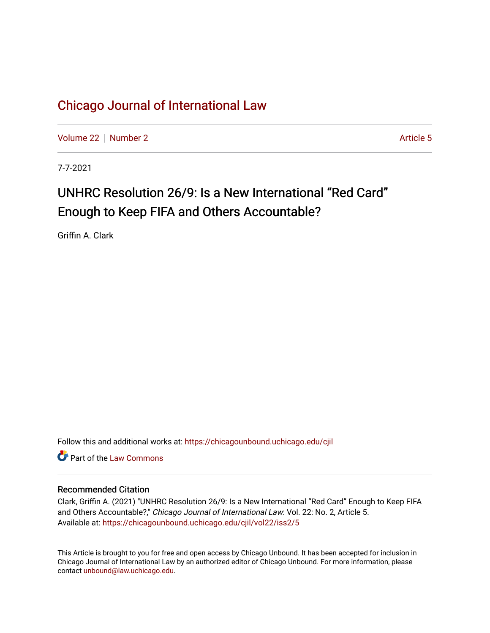[Volume 22](https://chicagounbound.uchicago.edu/cjil/vol22) [Number 2](https://chicagounbound.uchicago.edu/cjil/vol22/iss2) Article 5

7-7-2021

# UNHRC Resolution 26/9: Is a New International "Red Card" Enough to Keep FIFA and Others Accountable?

Griffin A. Clark

Follow this and additional works at: [https://chicagounbound.uchicago.edu/cjil](https://chicagounbound.uchicago.edu/cjil?utm_source=chicagounbound.uchicago.edu%2Fcjil%2Fvol22%2Fiss2%2F5&utm_medium=PDF&utm_campaign=PDFCoverPages)

**C** Part of the [Law Commons](https://network.bepress.com/hgg/discipline/578?utm_source=chicagounbound.uchicago.edu%2Fcjil%2Fvol22%2Fiss2%2F5&utm_medium=PDF&utm_campaign=PDFCoverPages)

## Recommended Citation

Clark, Griffin A. (2021) "UNHRC Resolution 26/9: Is a New International "Red Card" Enough to Keep FIFA and Others Accountable?," Chicago Journal of International Law: Vol. 22: No. 2, Article 5. Available at: [https://chicagounbound.uchicago.edu/cjil/vol22/iss2/5](https://chicagounbound.uchicago.edu/cjil/vol22/iss2/5?utm_source=chicagounbound.uchicago.edu%2Fcjil%2Fvol22%2Fiss2%2F5&utm_medium=PDF&utm_campaign=PDFCoverPages)

This Article is brought to you for free and open access by Chicago Unbound. It has been accepted for inclusion in Chicago Journal of International Law by an authorized editor of Chicago Unbound. For more information, please contact [unbound@law.uchicago.edu](mailto:unbound@law.uchicago.edu).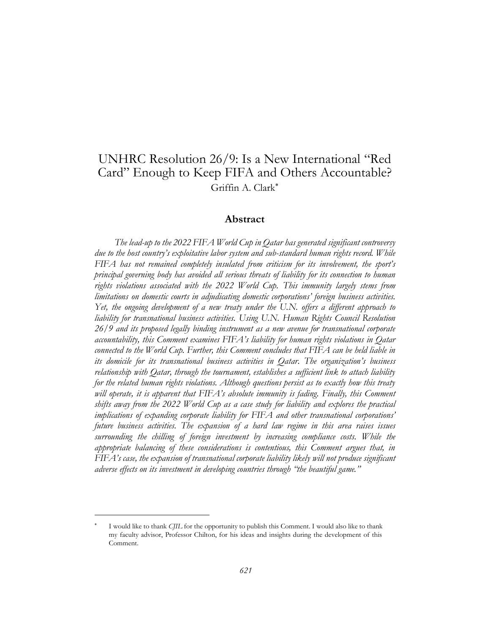## UNHRC Resolution 26/9: Is a New International "Red Card" Enough to Keep FIFA and Others Accountable? Griffin A. Clark

## **Abstract**

*The lead-up to the 2022 FIFA World Cup in Qatar has generated significant controversy due to the host country's exploitative labor system and sub-standard human rights record. While FIFA has not remained completely insulated from criticism for its involvement, the sport's principal governing body has avoided all serious threats of liability for its connection to human rights violations associated with the 2022 World Cup. This immunity largely stems from limitations on domestic courts in adjudicating domestic corporations' foreign business activities. Yet, the ongoing development of a new treaty under the U.N. offers a different approach to liability for transnational business activities. Using U.N. Human Rights Council Resolution 26/9 and its proposed legally binding instrument as a new avenue for transnational corporate accountability, this Comment examines FIFA's liability for human rights violations in Qatar connected to the World Cup. Further, this Comment concludes that FIFA can be held liable in its domicile for its transnational business activities in Qatar. The organization's business relationship with Qatar, through the tournament, establishes a sufficient link to attach liability for the related human rights violations. Although questions persist as to exactly how this treaty will operate, it is apparent that FIFA's absolute immunity is fading. Finally, this Comment shifts away from the 2022 World Cup as a case study for liability and explores the practical implications of expanding corporate liability for FIFA and other transnational corporations' future business activities. The expansion of a hard law regime in this area raises issues surrounding the chilling of foreign investment by increasing compliance costs. While the appropriate balancing of these considerations is contentious, this Comment argues that, in FIFA's case, the expansion of transnational corporate liability likely will not produce significant adverse effects on its investment in developing countries through "the beautiful game."* 

<sup>\*</sup> I would like to thank *CJIL* for the opportunity to publish this Comment. I would also like to thank my faculty advisor, Professor Chilton, for his ideas and insights during the development of this Comment.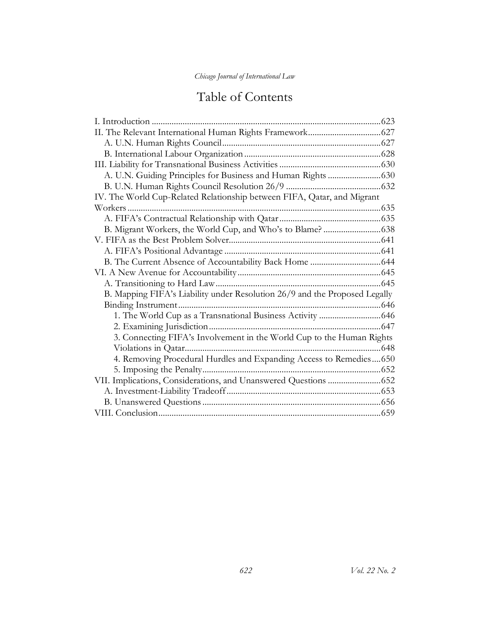# Table of Contents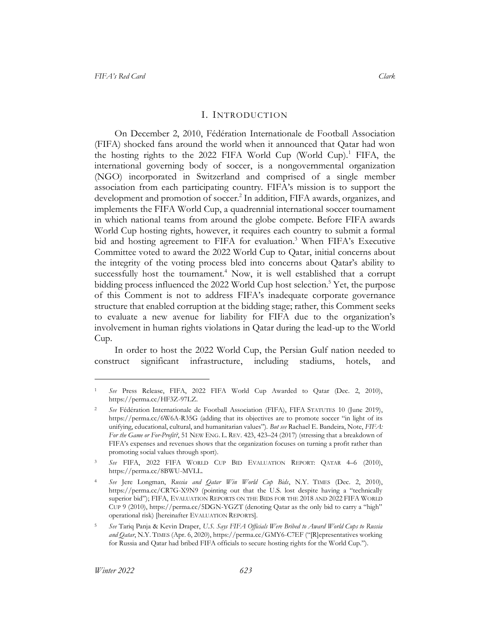## <span id="page-3-2"></span><span id="page-3-1"></span>I. INTRODUCTION

<span id="page-3-0"></span>On December 2, 2010, Fédération Internationale de Football Association (FIFA) shocked fans around the world when it announced that Qatar had won the hosting rights to the 2022 FIFA World Cup (World Cup).<sup>1</sup> FIFA, the international governing body of soccer, is a nongovernmental organization (NGO) incorporated in Switzerland and comprised of a single member association from each participating country. FIFA's mission is to support the development and promotion of soccer. 2 In addition, FIFA awards, organizes, and implements the FIFA World Cup, a quadrennial international soccer tournament in which national teams from around the globe compete. Before FIFA awards World Cup hosting rights, however, it requires each country to submit a formal bid and hosting agreement to FIFA for evaluation.<sup>3</sup> When FIFA's Executive Committee voted to award the 2022 World Cup to Qatar, initial concerns about the integrity of the voting process bled into concerns about Qatar's ability to successfully host the tournament.<sup>4</sup> Now, it is well established that a corrupt bidding process influenced the 2022 World Cup host selection. <sup>5</sup> Yet, the purpose of this Comment is not to address FIFA's inadequate corporate governance structure that enabled corruption at the bidding stage; rather, this Comment seeks to evaluate a new avenue for liability for FIFA due to the organization's involvement in human rights violations in Qatar during the lead-up to the World Cup.

In order to host the 2022 World Cup, the Persian Gulf nation needed to construct significant infrastructure, including stadiums, hotels, and

<sup>1</sup> *See* Press Release, FIFA, 2022 FIFA World Cup Awarded to Qatar (Dec. 2, 2010), https://perma.cc/HF3Z-97LZ.

<sup>2</sup> *See* Fédération Internationale de Football Association (FIFA), FIFA STATUTES 10 (June 2019), https://perma.cc/6W6A-R35G (adding that its objectives are to promote soccer "in light of its unifying, educational, cultural, and humanitarian values"). *But see* Rachael E. Bandeira, Note, *FIFA: For the Game or For-Profit?*, 51 NEW ENG. L. REV. 423, 423–24 (2017) (stressing that a breakdown of FIFA's expenses and revenues shows that the organization focuses on turning a profit rather than promoting social values through sport).

<sup>3</sup> *See* FIFA, 2022 FIFA WORLD CUP BID EVALUATION REPORT: QATAR 4–6 (2010), https://perma.cc/8BWU-MVLL.

<sup>4</sup> *See* Jere Longman, *Russia and Qatar Win World Cup Bids*, N.Y. TIMES (Dec. 2, 2010), https://perma.cc/CR7G-X9N9 (pointing out that the U.S. lost despite having a "technically superior bid"); FIFA, EVALUATION REPORTS ON THE BIDS FOR THE 2018 AND 2022 FIFA WORLD CUP 9 (2010), https://perma.cc/5DGN-YGZT (denoting Qatar as the only bid to carry a "high" operational risk) [hereinafter EVALUATION REPORTS].

<sup>5</sup> *See* Tariq Panja & Kevin Draper, *U.S. Says FIFA Officials Were Bribed to Award World Cups to Russia and Qatar*, N.Y. TIMES (Apr. 6, 2020), https://perma.cc/GMY6-C7EF ("[R]epresentatives working for Russia and Qatar had bribed FIFA officials to secure hosting rights for the World Cup.").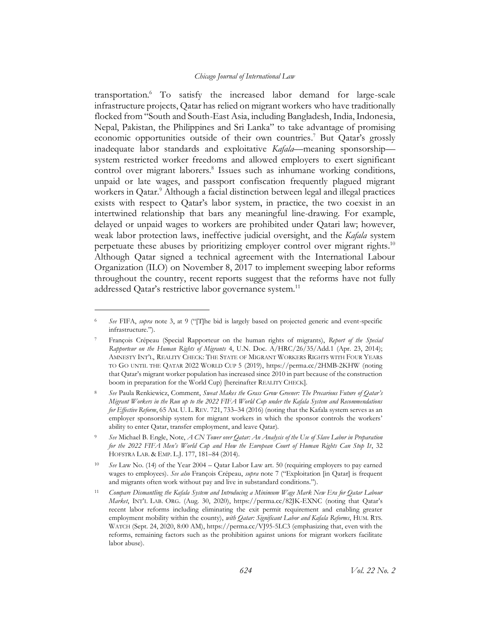<span id="page-4-1"></span><span id="page-4-0"></span>transportation.<sup>6</sup> To satisfy the increased labor demand for large-scale infrastructure projects, Qatar has relied on migrant workers who have traditionally flocked from "South and South-East Asia, including Bangladesh, India, Indonesia, Nepal, Pakistan, the Philippines and Sri Lanka" to take advantage of promising economic opportunities outside of their own countries. <sup>7</sup> But Qatar's grossly inadequate labor standards and exploitative *Kafala*—meaning sponsorship system restricted worker freedoms and allowed employers to exert significant control over migrant laborers.<sup>8</sup> Issues such as inhumane working conditions, unpaid or late wages, and passport confiscation frequently plagued migrant workers in Qatar.<sup>9</sup> Although a facial distinction between legal and illegal practices exists with respect to Qatar's labor system, in practice, the two coexist in an intertwined relationship that bars any meaningful line-drawing. For example, delayed or unpaid wages to workers are prohibited under Qatari law; however, weak labor protection laws, ineffective judicial oversight, and the *Kafala* system perpetuate these abuses by prioritizing employer control over migrant rights.<sup>10</sup> Although Qatar signed a technical agreement with the International Labour Organization (ILO) on November 8, 2017 to implement sweeping labor reforms throughout the country, recent reports suggest that the reforms have not fully addressed Qatar's restrictive labor governance system.<sup>11</sup>

<sup>6</sup> *See* FIFA, *supra* note [3](#page-3-1), at 9 ("[T]he bid is largely based on projected generic and event-specific infrastructure.").

<sup>7</sup> François Crépeau (Special Rapporteur on the human rights of migrants), *Report of the Special Rapporteur on the Human Rights of Migrants* 4, U.N. Doc. A/HRC/26/35/Add.1 (Apr. 23, 2014); AMNESTY INT'L, REALITY CHECK: THE STATE OF MIGRANT WORKERS RIGHTS WITH FOUR YEARS TO GO UNTIL THE QATAR 2022 WORLD CUP 5 (2019), https://perma.cc/2HMB-2KHW (noting that Qatar's migrant worker population has increased since 2010 in part because of the construction boom in preparation for the World Cup) [hereinafter REALITY CHECK].

<sup>8</sup> *See* Paula Renkiewicz, Comment, *Sweat Makes the Grass Grow Greener: The Precarious Future of Qatar's Migrant Workers in the Run up to the 2022 FIFA World Cup under the Kafala System and Recommendations for Effective Reform*, 65 AM. U. L. REV. 721, 733–34 (2016) (noting that the Kafala system serves as an employer sponsorship system for migrant workers in which the sponsor controls the workers' ability to enter Qatar, transfer employment, and leave Qatar).

<sup>9</sup> *See* Michael B. Engle, Note, *A CN Tower over Qatar: An Analysis of the Use of Slave Labor in Preparation*  for the 2022 FIFA Men's World Cup and How the European Court of Human Rights Can Stop It, 32 HOFSTRA LAB. & EMP. L.J. 177, 181–84 (2014).

<sup>10</sup> *See* Law No. (14) of the Year 2004 – Qatar Labor Law art. 50 (requiring employers to pay earned wages to employees). *See also* François Crépeau, *supra* note [7](#page-4-0) ("Exploitation [in Qatar] is frequent and migrants often work without pay and live in substandard conditions.").

<sup>11</sup> *Compare Dismantling the Kafala System and Introducing a Minimum Wage Mark New Era for Qatar Labour Market*, INT'L LAB. ORG. (Aug. 30, 2020), https://perma.cc/82JK-EXNC (noting that Qatar's recent labor reforms including eliminating the exit permit requirement and enabling greater employment mobility within the county), *with Qatar: Significant Labor and Kafala Reforms*, HUM. RTS. WATCH (Sept. 24, 2020, 8:00 AM), https://perma.cc/VJ95-5LC3 (emphasizing that, even with the reforms, remaining factors such as the prohibition against unions for migrant workers facilitate labor abuse).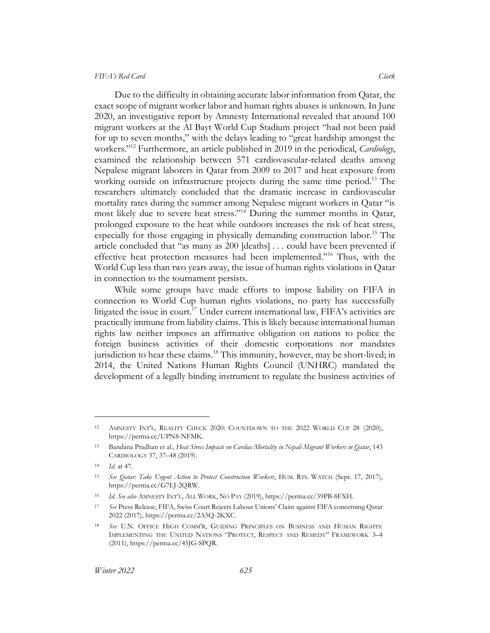<span id="page-5-1"></span>Due to the difficulty in obtaining accurate labor information from Qatar, the exact scope of migrant worker labor and human rights abuses is unknown. In June 2020, an investigative report by Amnesty International revealed that around 100 migrant workers at the Al Bayt World Cup Stadium project "had not been paid for up to seven months," with the delays leading to "great hardship amongst the workers."<sup>12</sup> Furthermore, an article published in 2019 in the periodical, *Cardiology*, examined the relationship between 571 cardiovascular-related deaths among Nepalese migrant laborers in Qatar from 2009 to 2017 and heat exposure from working outside on infrastructure projects during the same time period.<sup>13</sup> The researchers ultimately concluded that the dramatic increase in cardiovascular mortality rates during the summer among Nepalese migrant workers in Qatar "is most likely due to severe heat stress."<sup>14</sup> During the summer months in Qatar, prolonged exposure to the heat while outdoors increases the risk of heat stress, especially for those engaging in physically demanding construction labor.<sup>15</sup> The article concluded that "as many as 200 [deaths] . . . could have been prevented if effective heat protection measures had been implemented."<sup>16</sup> Thus, with the World Cup less than two years away, the issue of human rights violations in Qatar in connection to the tournament persists.

<span id="page-5-0"></span>While some groups have made efforts to impose liability on FIFA in connection to World Cup human rights violations, no party has successfully litigated the issue in court.<sup>17</sup> Under current international law, FIFA's activities are practically immune from liability claims. This is likely because international human rights law neither imposes an affirmative obligation on nations to police the foreign business activities of their domestic corporations nor mandates jurisdiction to hear these claims.<sup>18</sup> This immunity, however, may be short-lived; in 2014, the United Nations Human Rights Council (UNHRC) mandated the development of a legally binding instrument to regulate the business activities of

<sup>12</sup> AMNESTY INT'L, REALITY CHECK 2020: COUNTDOWN TO THE 2022 WORLD CUP 28 (2020), https://perma.cc/UPN8-NFMK.

<sup>13</sup> Bandana Pradhan et al., *Heat Stress Impacts on Cardiac Mortality in Nepali Migrant Workers in Qatar*, 143 CARDIOLOGY 37, 37–48 (2019).

<sup>14</sup> *Id.* at 47.

<sup>15</sup> *See Qatar: Take Urgent Action to Protect Construction Workers*, HUM. RTS. WATCH (Sept. 17, 2017), https://perma.cc/G7LJ-2QRW.

<sup>16</sup> *Id. See also* AMNESTY INT'L, ALL WORK, NO PAY (2019), https://perma.cc/39PB-8FXH.

<sup>17</sup> *See* Press Release, FIFA, Swiss Court Rejects Labour Unions' Claim against FIFA concerning Qatar 2022 (2017), https://perma.cc/2A5Q-2KXC.

<sup>18</sup> *See* U.N. OFFICE HIGH COMM'R, GUIDING PRINCIPLES ON BUSINESS AND HUMAN RIGHTS: IMPLEMENTING THE UNITED NATIONS "PROTECT, RESPECT AND REMEDY" FRAMEWORK 3–4 (2011), https://perma.cc/45JG-SPQR.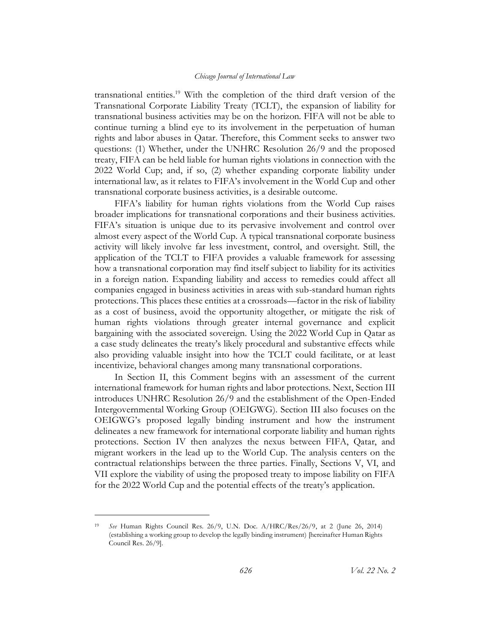<span id="page-6-0"></span>transnational entities.<sup>19</sup> With the completion of the third draft version of the Transnational Corporate Liability Treaty (TCLT), the expansion of liability for transnational business activities may be on the horizon. FIFA will not be able to continue turning a blind eye to its involvement in the perpetuation of human rights and labor abuses in Qatar. Therefore, this Comment seeks to answer two questions: (1) Whether, under the UNHRC Resolution 26/9 and the proposed treaty, FIFA can be held liable for human rights violations in connection with the 2022 World Cup; and, if so, (2) whether expanding corporate liability under international law, as it relates to FIFA's involvement in the World Cup and other transnational corporate business activities, is a desirable outcome.

FIFA's liability for human rights violations from the World Cup raises broader implications for transnational corporations and their business activities. FIFA's situation is unique due to its pervasive involvement and control over almost every aspect of the World Cup. A typical transnational corporate business activity will likely involve far less investment, control, and oversight. Still, the application of the TCLT to FIFA provides a valuable framework for assessing how a transnational corporation may find itself subject to liability for its activities in a foreign nation. Expanding liability and access to remedies could affect all companies engaged in business activities in areas with sub-standard human rights protections. This places these entities at a crossroads—factor in the risk of liability as a cost of business, avoid the opportunity altogether, or mitigate the risk of human rights violations through greater internal governance and explicit bargaining with the associated sovereign. Using the 2022 World Cup in Qatar as a case study delineates the treaty's likely procedural and substantive effects while also providing valuable insight into how the TCLT could facilitate, or at least incentivize, behavioral changes among many transnational corporations.

In Section II, this Comment begins with an assessment of the current international framework for human rights and labor protections. Next, Section III introduces UNHRC Resolution 26/9 and the establishment of the Open-Ended Intergovernmental Working Group (OEIGWG). Section III also focuses on the OEIGWG's proposed legally binding instrument and how the instrument delineates a new framework for international corporate liability and human rights protections. Section IV then analyzes the nexus between FIFA, Qatar, and migrant workers in the lead up to the World Cup. The analysis centers on the contractual relationships between the three parties. Finally, Sections V, VI, and VII explore the viability of using the proposed treaty to impose liability on FIFA for the 2022 World Cup and the potential effects of the treaty's application.

<sup>19</sup> *See* Human Rights Council Res. 26/9, U.N. Doc. A/HRC/Res/26/9, at 2 (June 26, 2014) (establishing a working group to develop the legally binding instrument) [hereinafter Human Rights Council Res. 26/9].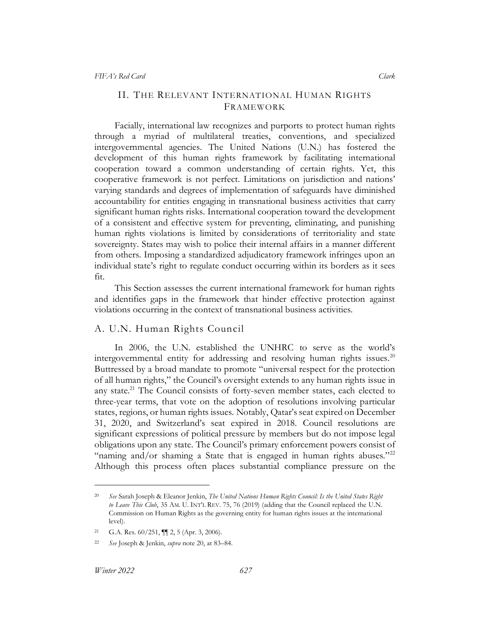## <span id="page-7-0"></span>II. THE RELEVANT INTERNATIONAL HUMAN RIGHTS FRAMEWORK

Facially, international law recognizes and purports to protect human rights through a myriad of multilateral treaties, conventions, and specialized intergovernmental agencies. The United Nations (U.N.) has fostered the development of this human rights framework by facilitating international cooperation toward a common understanding of certain rights. Yet, this cooperative framework is not perfect. Limitations on jurisdiction and nations' varying standards and degrees of implementation of safeguards have diminished accountability for entities engaging in transnational business activities that carry significant human rights risks. International cooperation toward the development of a consistent and effective system for preventing, eliminating, and punishing human rights violations is limited by considerations of territoriality and state sovereignty. States may wish to police their internal affairs in a manner different from others. Imposing a standardized adjudicatory framework infringes upon an individual state's right to regulate conduct occurring within its borders as it sees fit.

This Section assesses the current international framework for human rights and identifies gaps in the framework that hinder effective protection against violations occurring in the context of transnational business activities.

## <span id="page-7-1"></span>A. U.N. Human Rights Council

<span id="page-7-2"></span>In 2006, the U.N. established the UNHRC to serve as the world's intergovernmental entity for addressing and resolving human rights issues.<sup>20</sup> Buttressed by a broad mandate to promote "universal respect for the protection of all human rights," the Council's oversight extends to any human rights issue in any state.<sup>21</sup> The Council consists of forty-seven member states, each elected to three-year terms, that vote on the adoption of resolutions involving particular states, regions, or human rights issues. Notably, Qatar's seat expired on December 31, 2020, and Switzerland's seat expired in 2018. Council resolutions are significant expressions of political pressure by members but do not impose legal obligations upon any state. The Council's primary enforcement powers consist of "naming and/or shaming a State that is engaged in human rights abuses."<sup>22</sup> Although this process often places substantial compliance pressure on the

<sup>20</sup> *See* Sarah Joseph & Eleanor Jenkin, *The United Nations Human Rights Council: Is the United States Right to Leave This Club*, 35 AM. U. INT'L REV. 75, 76 (2019) (adding that the Council replaced the U.N. Commission on Human Rights as the governing entity for human rights issues at the international level).

<sup>21</sup> G.A. Res.  $60/251$ ,  $\P$  $2$ ,  $5$  (Apr. 3, 2006).

<sup>22</sup> *See* Joseph & Jenkin, *supra* note [20,](#page-7-2) at 83–84.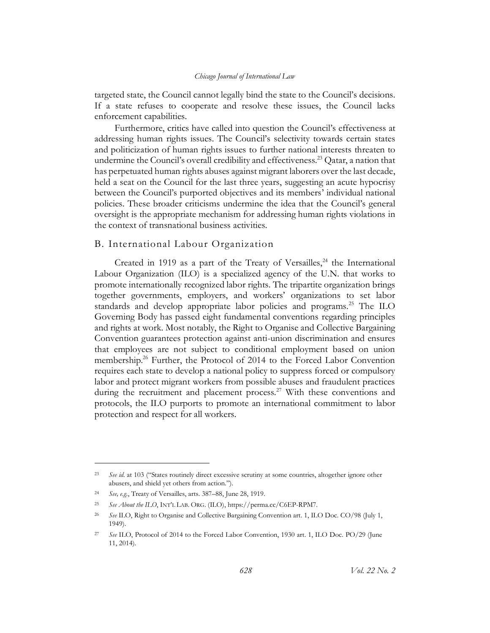targeted state, the Council cannot legally bind the state to the Council's decisions. If a state refuses to cooperate and resolve these issues, the Council lacks enforcement capabilities.

Furthermore, critics have called into question the Council's effectiveness at addressing human rights issues. The Council's selectivity towards certain states and politicization of human rights issues to further national interests threaten to undermine the Council's overall credibility and effectiveness.<sup>23</sup> Qatar, a nation that has perpetuated human rights abuses against migrant laborers over the last decade, held a seat on the Council for the last three years, suggesting an acute hypocrisy between the Council's purported objectives and its members' individual national policies. These broader criticisms undermine the idea that the Council's general oversight is the appropriate mechanism for addressing human rights violations in the context of transnational business activities.

## <span id="page-8-0"></span>B. International Labour Organization

Created in 1919 as a part of the Treaty of Versailles, $24$  the International Labour Organization (ILO) is a specialized agency of the U.N. that works to promote internationally recognized labor rights. The tripartite organization brings together governments, employers, and workers' organizations to set labor standards and develop appropriate labor policies and programs.<sup>25</sup> The ILO Governing Body has passed eight fundamental conventions regarding principles and rights at work. Most notably, the Right to Organise and Collective Bargaining Convention guarantees protection against anti-union discrimination and ensures that employees are not subject to conditional employment based on union membership.<sup>26</sup> Further, the Protocol of 2014 to the Forced Labor Convention requires each state to develop a national policy to suppress forced or compulsory labor and protect migrant workers from possible abuses and fraudulent practices during the recruitment and placement process.<sup>27</sup> With these conventions and protocols, the ILO purports to promote an international commitment to labor protection and respect for all workers.

<sup>23</sup> *See id.* at 103 ("States routinely direct excessive scrutiny at some countries, altogether ignore other abusers, and shield yet others from action.").

<sup>24</sup> *See, e.g.*, Treaty of Versailles, arts. 387–88, June 28, 1919.

<sup>25</sup> *See About the ILO*, INT'L LAB. ORG. (ILO), https://perma.cc/C6EP-RPM7.

<sup>26</sup> *See* ILO, Right to Organise and Collective Bargaining Convention art. 1, ILO Doc. CO/98 (July 1, 1949).

<sup>27</sup> *See* ILO, Protocol of 2014 to the Forced Labor Convention, 1930 art. 1, ILO Doc. PO/29 (June 11, 2014).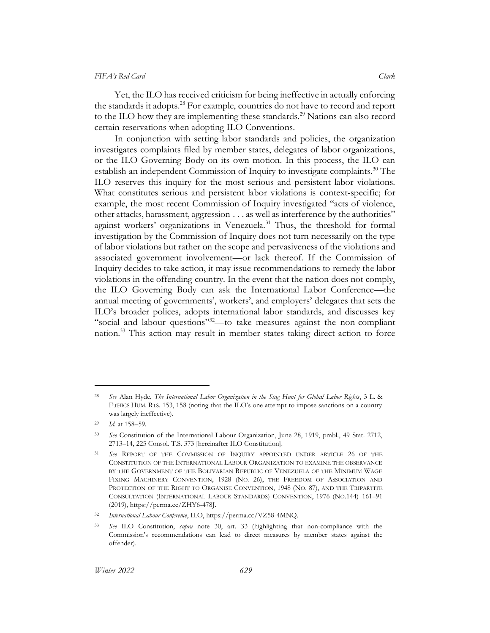Yet, the ILO has received criticism for being ineffective in actually enforcing the standards it adopts.<sup>28</sup> For example, countries do not have to record and report to the ILO how they are implementing these standards.<sup>29</sup> Nations can also record certain reservations when adopting ILO Conventions.

<span id="page-9-0"></span>In conjunction with setting labor standards and policies, the organization investigates complaints filed by member states, delegates of labor organizations, or the ILO Governing Body on its own motion. In this process, the ILO can establish an independent Commission of Inquiry to investigate complaints.<sup>30</sup> The ILO reserves this inquiry for the most serious and persistent labor violations. What constitutes serious and persistent labor violations is context-specific; for example, the most recent Commission of Inquiry investigated "acts of violence, other attacks, harassment, aggression . . . as well as interference by the authorities" against workers' organizations in Venezuela.<sup>31</sup> Thus, the threshold for formal investigation by the Commission of Inquiry does not turn necessarily on the type of labor violations but rather on the scope and pervasiveness of the violations and associated government involvement—or lack thereof. If the Commission of Inquiry decides to take action, it may issue recommendations to remedy the labor violations in the offending country. In the event that the nation does not comply, the ILO Governing Body can ask the International Labor Conference—the annual meeting of governments', workers', and employers' delegates that sets the ILO's broader polices, adopts international labor standards, and discusses key "social and labour questions"<sup>32</sup>—to take measures against the non-compliant nation.<sup>33</sup> This action may result in member states taking direct action to force

<sup>28</sup> *See* Alan Hyde, *The International Labor Organization in the Stag Hunt for Global Labor Rights*, 3 L. & ETHICS HUM. RTS. 153, 158 (noting that the ILO's one attempt to impose sanctions on a country was largely ineffective).

<sup>29</sup> *Id.* at 158–59.

<sup>30</sup> *See* Constitution of the International Labour Organization, June 28, 1919, pmbl., 49 Stat. 2712, 2713–14, 225 Consol. T.S. 373 [hereinafter ILO Constitution].

<sup>31</sup> *See* REPORT OF THE COMMISSION OF INQUIRY APPOINTED UNDER ARTICLE 26 OF THE CONSTITUTION OF THE INTERNATIONAL LABOUR ORGANIZATION TO EXAMINE THE OBSERVANCE BY THE GOVERNMENT OF THE BOLIVARIAN REPUBLIC OF VENEZUELA OF THE MINIMUM WAGE FIXING MACHINERY CONVENTION, 1928 (NO. 26), THE FREEDOM OF ASSOCIATION AND PROTECTION OF THE RIGHT TO ORGANISE CONVENTION, 1948 (NO. 87), AND THE TRIPARTITE CONSULTATION (INTERNATIONAL LABOUR STANDARDS) CONVENTION, 1976 (NO.144) 161–91 (2019), https://perma.cc/ZHY6-478J.

<sup>32</sup> *International Labour Conference*, ILO, https://perma.cc/VZ58-4MNQ.

<sup>33</sup> *See* ILO Constitution, *supra* note [30,](#page-9-0) art. 33 (highlighting that non-compliance with the Commission's recommendations can lead to direct measures by member states against the offender).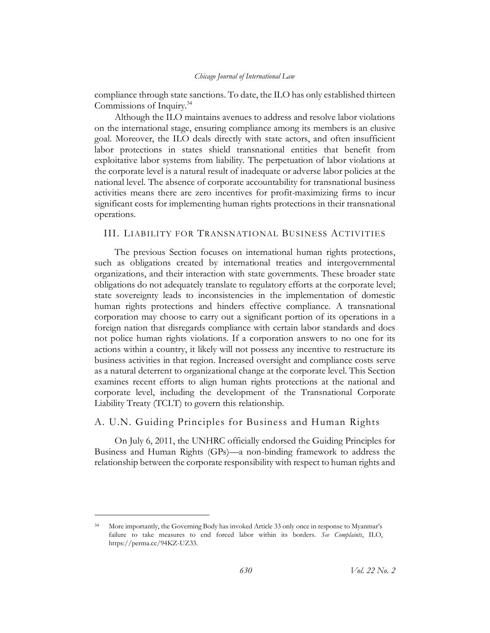compliance through state sanctions. To date, the ILO has only established thirteen Commissions of Inquiry.<sup>34</sup>

Although the ILO maintains avenues to address and resolve labor violations on the international stage, ensuring compliance among its members is an elusive goal. Moreover, the ILO deals directly with state actors, and often insufficient labor protections in states shield transnational entities that benefit from exploitative labor systems from liability. The perpetuation of labor violations at the corporate level is a natural result of inadequate or adverse labor policies at the national level. The absence of corporate accountability for transnational business activities means there are zero incentives for profit-maximizing firms to incur significant costs for implementing human rights protections in their transnational operations.

## <span id="page-10-0"></span>III. LIABILITY FOR TRANSNATIONAL BUSINESS ACTIVITIES

The previous Section focuses on international human rights protections, such as obligations created by international treaties and intergovernmental organizations, and their interaction with state governments. These broader state obligations do not adequately translate to regulatory efforts at the corporate level; state sovereignty leads to inconsistencies in the implementation of domestic human rights protections and hinders effective compliance. A transnational corporation may choose to carry out a significant portion of its operations in a foreign nation that disregards compliance with certain labor standards and does not police human rights violations. If a corporation answers to no one for its actions within a country, it likely will not possess any incentive to restructure its business activities in that region. Increased oversight and compliance costs serve as a natural deterrent to organizational change at the corporate level. This Section examines recent efforts to align human rights protections at the national and corporate level, including the development of the Transnational Corporate Liability Treaty (TCLT) to govern this relationship.

## <span id="page-10-1"></span>A. U.N. Guiding Principles for Business and Human Rights

On July 6, 2011, the UNHRC officially endorsed the Guiding Principles for Business and Human Rights (GPs)—a non-binding framework to address the relationship between the corporate responsibility with respect to human rights and

<sup>34</sup> More importantly, the Governing Body has invoked Article 33 only once in response to Myanmar's failure to take measures to end forced labor within its borders. *See Complaints*, ILO, https://perma.cc/94KZ-UZ33.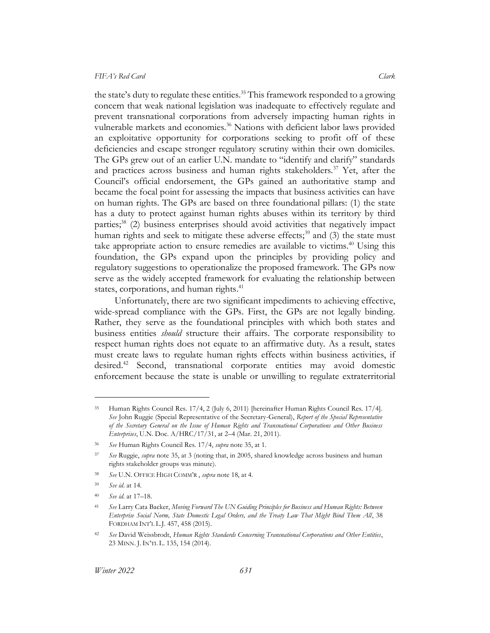<span id="page-11-0"></span>the state's duty to regulate these entities. <sup>35</sup> This framework responded to a growing concern that weak national legislation was inadequate to effectively regulate and prevent transnational corporations from adversely impacting human rights in vulnerable markets and economies.<sup>36</sup> Nations with deficient labor laws provided an exploitative opportunity for corporations seeking to profit off of these deficiencies and escape stronger regulatory scrutiny within their own domiciles. The GPs grew out of an earlier U.N. mandate to "identify and clarify" standards and practices across business and human rights stakeholders.<sup>37</sup> Yet, after the Council's official endorsement, the GPs gained an authoritative stamp and became the focal point for assessing the impacts that business activities can have on human rights. The GPs are based on three foundational pillars: (1) the state has a duty to protect against human rights abuses within its territory by third parties;<sup>38</sup> (2) business enterprises should avoid activities that negatively impact human rights and seek to mitigate these adverse effects;<sup>39</sup> and  $(3)$  the state must take appropriate action to ensure remedies are available to victims.<sup>40</sup> Using this foundation, the GPs expand upon the principles by providing policy and regulatory suggestions to operationalize the proposed framework. The GPs now serve as the widely accepted framework for evaluating the relationship between states, corporations, and human rights.<sup>41</sup>

Unfortunately, there are two significant impediments to achieving effective, wide-spread compliance with the GPs. First, the GPs are not legally binding. Rather, they serve as the foundational principles with which both states and business entities *should* structure their affairs. The corporate responsibility to respect human rights does not equate to an affirmative duty. As a result, states must create laws to regulate human rights effects within business activities, if desired. <sup>42</sup> Second, transnational corporate entities may avoid domestic enforcement because the state is unable or unwilling to regulate extraterritorial

<sup>35</sup> Human Rights Council Res. 17/4, 2 (July 6, 2011) [hereinafter Human Rights Council Res. 17/4]. *See* John Ruggie (Special Representative of the Secretary-General), *Report of the Special Representative of the Secretary General on the Issue of Human Rights and Transnational Corporations and Other Business Enterprises*, U.N. Doc. A/HRC/17/31, at 2–4 (Mar. 21, 2011).

<sup>36</sup> *See* Human Rights Council Res. 17/4, *supra* not[e 35,](#page-11-0) at 1.

<sup>37</sup> *See* Ruggie, *supra* note [35,](#page-11-0) at 3 (noting that, in 2005, shared knowledge across business and human rights stakeholder groups was minute).

<sup>38</sup> *See* U.N. OFFICE HIGH COMM'R , *supra* note [18,](#page-5-0) at 4.

<sup>39</sup> *See id*. at 14.

<sup>40</sup> *See id.* at 17–18.

<sup>41</sup> *See* Larry Cata Backer, *Moving Forward The UN Guiding Principles for Business and Human Rights: Between Enterprise Social Norm, State Domestic Legal Orders, and the Treaty Law That Might Bind Them All*, 38 FORDHAM INT'L L.J. 457, 458 (2015).

<sup>42</sup> *See* David Weissbrodt, *Human Rights Standards Concerning Transnational Corporations and Other Entities*, 23 MINN. J.IN'TL L. 135, 154 (2014).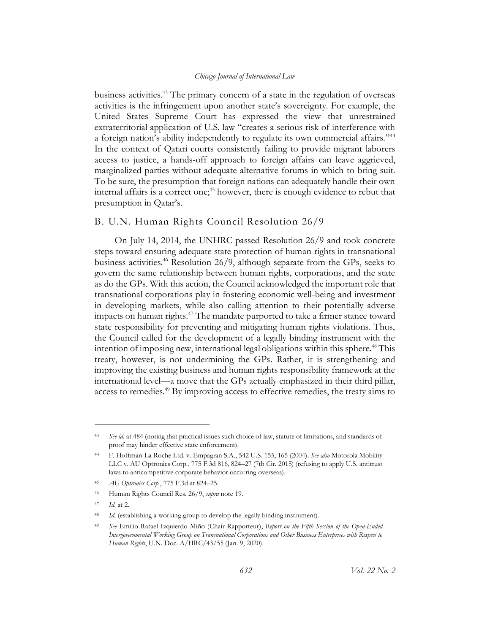business activities. <sup>43</sup> The primary concern of a state in the regulation of overseas activities is the infringement upon another state's sovereignty. For example, the United States Supreme Court has expressed the view that unrestrained extraterritorial application of U.S. law "creates a serious risk of interference with a foreign nation's ability independently to regulate its own commercial affairs."<sup>44</sup> In the context of Qatari courts consistently failing to provide migrant laborers access to justice, a hands-off approach to foreign affairs can leave aggrieved, marginalized parties without adequate alternative forums in which to bring suit. To be sure, the presumption that foreign nations can adequately handle their own internal affairs is a correct one;<sup>45</sup> however, there is enough evidence to rebut that presumption in Qatar's.

### <span id="page-12-0"></span>B. U.N. Human Rights Council Resolution 26/9

On July 14, 2014, the UNHRC passed Resolution 26/9 and took concrete steps toward ensuring adequate state protection of human rights in transnational business activities.<sup>46</sup> Resolution 26/9, although separate from the GPs, seeks to govern the same relationship between human rights, corporations, and the state as do the GPs. With this action, the Council acknowledged the important role that transnational corporations play in fostering economic well-being and investment in developing markets, while also calling attention to their potentially adverse impacts on human rights.<sup>47</sup> The mandate purported to take a firmer stance toward state responsibility for preventing and mitigating human rights violations. Thus, the Council called for the development of a legally binding instrument with the intention of imposing new, international legal obligations within this sphere.<sup>48</sup> This treaty, however, is not undermining the GPs. Rather, it is strengthening and improving the existing business and human rights responsibility framework at the international level—a move that the GPs actually emphasized in their third pillar, access to remedies.<sup>49</sup> By improving access to effective remedies, the treaty aims to

<span id="page-12-1"></span><sup>43</sup> *See id.* at 484 (noting that practical issues such choice of law, statute of limitations, and standards of proof may hinder effective state enforcement).

<sup>44</sup> F. Hoffman-La Roche Ltd. v. Empagran S.A*.*, 542 U.S. 155, 165 (2004). *See also* Motorola Mobility LLC v. AU Optronics Corp*.*, 775 F.3d 816, 824–27 (7th Cir. 2015) (refusing to apply U.S. antitrust laws to anticompetitive corporate behavior occurring overseas).

<sup>45</sup> *AU Optronics Corp.*, 775 F.3d at 824–25.

<sup>46</sup> Human Rights Council Res. 26/9, *supra* not[e 19.](#page-6-0)

<sup>47</sup> *Id.* at 2.

<sup>&</sup>lt;sup>48</sup> *Id.* (establishing a working group to develop the legally binding instrument).

<sup>49</sup> *See* Emilio Rafael Izquierdo Miño (Chair-Rapporteur), *Report on the Fifth Session of the Open-Ended Intergovernmental Working Group on Transnational Corporations and Other Business Enterprises with Respect to Human Rights*, U.N. Doc. A/HRC/43/55 (Jan. 9, 2020).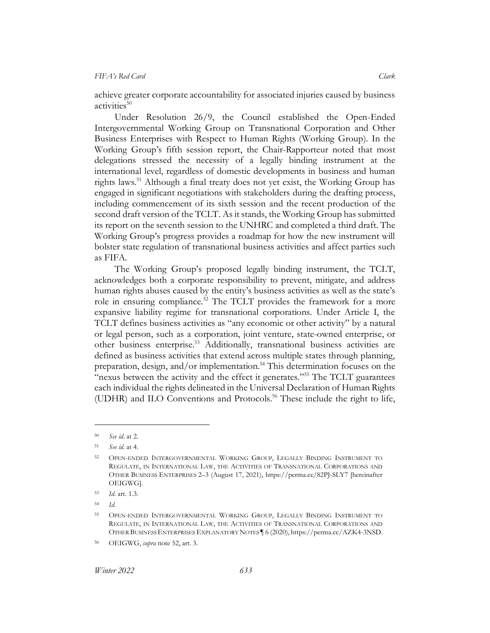achieve greater corporate accountability for associated injuries caused by business activities $^{50}$ 

Under Resolution 26/9, the Council established the Open-Ended Intergovernmental Working Group on Transnational Corporation and Other Business Enterprises with Respect to Human Rights (Working Group). In the Working Group's fifth session report, the Chair-Rapporteur noted that most delegations stressed the necessity of a legally binding instrument at the international level, regardless of domestic developments in business and human rights laws.<sup>51</sup> Although a final treaty does not yet exist, the Working Group has engaged in significant negotiations with stakeholders during the drafting process, including commencement of its sixth session and the recent production of the second draft version of the TCLT. As it stands, the Working Group has submitted its report on the seventh session to the UNHRC and completed a third draft. The Working Group's progress provides a roadmap for how the new instrument will bolster state regulation of transnational business activities and affect parties such as FIFA.

<span id="page-13-0"></span>The Working Group's proposed legally binding instrument, the TCLT, acknowledges both a corporate responsibility to prevent, mitigate, and address human rights abuses caused by the entity's business activities as well as the state's role in ensuring compliance.<sup>52</sup> The TCLT provides the framework for a more expansive liability regime for transnational corporations. Under Article I, the TCLT defines business activities as "any economic or other activity" by a natural or legal person, such as a corporation, joint venture, state-owned enterprise, or other business enterprise.<sup>53</sup> Additionally, transnational business activities are defined as business activities that extend across multiple states through planning, preparation, design, and/or implementation. <sup>54</sup> This determination focuses on the "nexus between the activity and the effect it generates."<sup>55</sup> The TCLT guarantees each individual the rights delineated in the Universal Declaration of Human Rights (UDHR) and ILO Conventions and Protocols. <sup>56</sup> These include the right to life,

<sup>50</sup> *See id.* at 2.

<sup>51</sup> *See id.* at 4.

<sup>52</sup> OPEN-ENDED INTERGOVERNMENTAL WORKING GROUP, LEGALLY BINDING INSTRUMENT TO REGULATE, IN INTERNATIONAL LAW, THE ACTIVITIES OF TRANSNATIONAL CORPORATIONS AND OTHER BUSINESS ENTERPRISES 2–3 (August 17, 2021), https://perma.cc/82PJ-SLY7 [hereinafter OEIGWG].

<sup>53</sup> *Id.* art. 1.3.

<sup>54</sup> *Id*.

<sup>55</sup> OPEN-ENDED INTERGOVERNMENTAL WORKING GROUP, LEGALLY BINDING INSTRUMENT TO REGULATE, IN INTERNATIONAL LAW, THE ACTIVITIES OF TRANSNATIONAL CORPORATIONS AND OTHER BUSINESS ENTERPRISES EXPLANATORY NOTES ¶ 6 (2020), https://perma.cc/AZK4-3NSD.

<sup>56</sup> OEIGWG, *supra* note [52,](#page-13-0) art. 3.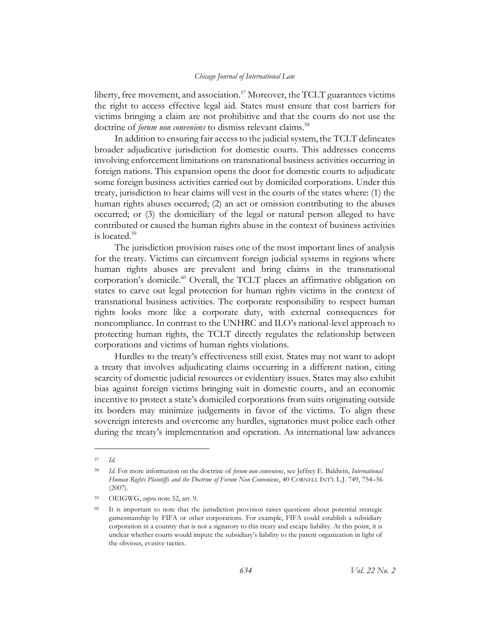liberty, free movement, and association.<sup>57</sup> Moreover, the TCLT guarantees victims the right to access effective legal aid. States must ensure that cost barriers for victims bringing a claim are not prohibitive and that the courts do not use the doctrine of *forum non conveniens* to dismiss relevant claims.<sup>58</sup>

<span id="page-14-0"></span>In addition to ensuring fair access to the judicial system, the TCLT delineates broader adjudicative jurisdiction for domestic courts. This addresses concerns involving enforcement limitations on transnational business activities occurring in foreign nations. This expansion opens the door for domestic courts to adjudicate some foreign business activities carried out by domiciled corporations. Under this treaty, jurisdiction to hear claims will vest in the courts of the states where: (1) the human rights abuses occurred; (2) an act or omission contributing to the abuses occurred; or (3) the domiciliary of the legal or natural person alleged to have contributed or caused the human rights abuse in the context of business activities is located. 59

The jurisdiction provision raises one of the most important lines of analysis for the treaty. Victims can circumvent foreign judicial systems in regions where human rights abuses are prevalent and bring claims in the transnational corporation's domicile. <sup>60</sup> Overall, the TCLT places an affirmative obligation on states to carve out legal protection for human rights victims in the context of transnational business activities. The corporate responsibility to respect human rights looks more like a corporate duty, with external consequences for noncompliance. In contrast to the UNHRC and ILO's national-level approach to protecting human rights, the TCLT directly regulates the relationship between corporations and victims of human rights violations.

Hurdles to the treaty's effectiveness still exist. States may not want to adopt a treaty that involves adjudicating claims occurring in a different nation, citing scarcity of domestic judicial resources or evidentiary issues. States may also exhibit bias against foreign victims bringing suit in domestic courts, and an economic incentive to protect a state's domiciled corporations from suits originating outside its borders may minimize judgements in favor of the victims. To align these sovereign interests and overcome any hurdles, signatories must police each other during the treaty's implementation and operation. As international law advances

<sup>57</sup> *Id.*

<sup>58</sup> *Id.* For more information on the doctrine of *forum non conveniens*, see Jeffrey E. Baldwin, *International Human Rights Plaintiffs and the Doctrine of Forum Non Conveniens*, 40 CORNELL INT'L L.J. 749, 754–56 (2007).

<sup>59</sup> OEIGWG, *supra* note [52,](#page-13-0) art. 9.

<sup>&</sup>lt;sup>60</sup> It is important to note that the jurisdiction provision raises questions about potential strategic gamesmanship by FIFA or other corporations. For example, FIFA could establish a subsidiary corporation in a country that is not a signatory to this treaty and escape liability. At this point, it is unclear whether courts would impute the subsidiary's liability to the parent organization in light of the obvious, evasive tactics.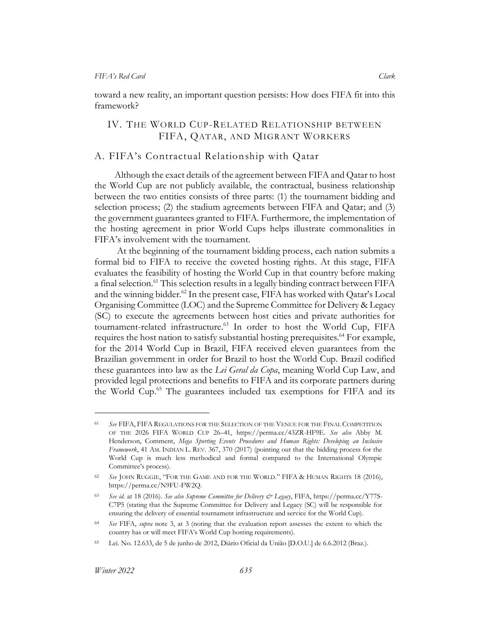toward a new reality, an important question persists: How does FIFA fit into this framework?

## <span id="page-15-0"></span>IV. THE WORLD CUP-RELATED RELATIONSHIP BETWEEN FIFA, QATAR, AND MIGRANT WORKERS

## <span id="page-15-1"></span>A. FIFA's Contractual Relationship with Qatar

Although the exact details of the agreement between FIFA and Qatar to host the World Cup are not publicly available, the contractual, business relationship between the two entities consists of three parts: (1) the tournament bidding and selection process; (2) the stadium agreements between FIFA and Qatar; and (3) the government guarantees granted to FIFA. Furthermore, the implementation of the hosting agreement in prior World Cups helps illustrate commonalities in FIFA's involvement with the tournament.

<span id="page-15-3"></span><span id="page-15-2"></span>At the beginning of the tournament bidding process, each nation submits a formal bid to FIFA to receive the coveted hosting rights. At this stage, FIFA evaluates the feasibility of hosting the World Cup in that country before making a final selection.<sup>61</sup> This selection results in a legally binding contract between FIFA and the winning bidder.<sup>62</sup> In the present case, FIFA has worked with Qatar's Local Organising Committee (LOC) and the Supreme Committee for Delivery & Legacy (SC) to execute the agreements between host cities and private authorities for tournament-related infrastructure.<sup>63</sup> In order to host the World Cup, FIFA requires the host nation to satisfy substantial hosting prerequisites. <sup>64</sup> For example, for the 2014 World Cup in Brazil, FIFA received eleven guarantees from the Brazilian government in order for Brazil to host the World Cup. Brazil codified these guarantees into law as the *Lei Geral da Copa*, meaning World Cup Law, and provided legal protections and benefits to FIFA and its corporate partners during the World Cup.<sup>65</sup> The guarantees included tax exemptions for FIFA and its

<sup>61</sup> *See* FIFA, FIFA REGULATIONS FOR THE SELECTION OF THE VENUE FOR THE FINAL COMPETITION OF THE 2026 FIFA WORLD CUP 26–41, https://perma.cc/43ZR-HF9E. *See also* Abby M. Henderson, Comment, *Mega Sporting Events Procedures and Human Rights: Developing an Inclusive Framework*, 41 AM. INDIAN L. REV. 367, 370 (2017) (pointing out that the bidding process for the World Cup is much less methodical and formal compared to the International Olympic Committee's process).

<sup>62</sup> *See* JOHN RUGGIE, "FOR THE GAME AND FOR THE WORLD." FIFA & HUMAN RIGHTS 18 (2016), https://perma.cc/N9FU-FW2Q.

<sup>63</sup> *See id.* at 18 (2016). *See also Supreme Committee for Delivery & Legacy*, FIFA, https://perma.cc/Y77S-C7P5 (stating that the Supreme Committee for Delivery and Legacy (SC) will be responsible for ensuring the delivery of essential tournament infrastructure and service for the World Cup).

<sup>64</sup> *See* FIFA, *supra* note [3,](#page-3-1) at 3 (noting that the evaluation report assesses the extent to which the country has or will meet FIFA's World Cup hosting requirements).

<sup>65</sup> Lei. No. 12.633, de 5 de junho de 2012, Diário Oficial da União [D.O.U.] de 6.6.2012 (Braz.).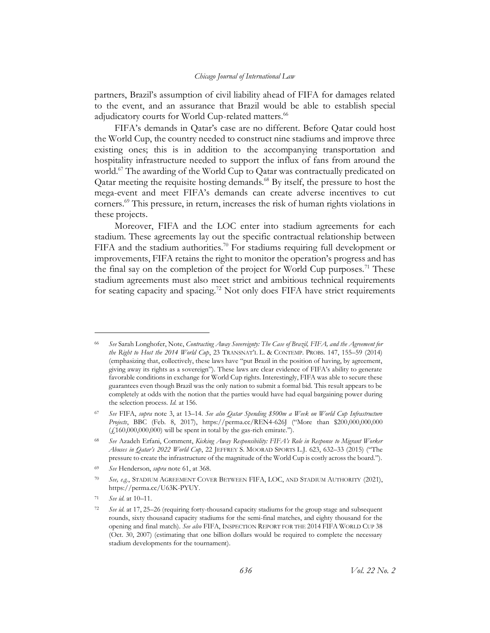partners, Brazil's assumption of civil liability ahead of FIFA for damages related to the event, and an assurance that Brazil would be able to establish special adjudicatory courts for World Cup-related matters.<sup>66</sup>

<span id="page-16-1"></span><span id="page-16-0"></span>FIFA's demands in Qatar's case are no different. Before Qatar could host the World Cup, the country needed to construct nine stadiums and improve three existing ones; this is in addition to the accompanying transportation and hospitality infrastructure needed to support the influx of fans from around the world.<sup>67</sup> The awarding of the World Cup to Qatar was contractually predicated on Qatar meeting the requisite hosting demands.<sup>68</sup> By itself, the pressure to host the mega-event and meet FIFA's demands can create adverse incentives to cut corners.<sup>69</sup> This pressure, in return, increases the risk of human rights violations in these projects.

<span id="page-16-3"></span><span id="page-16-2"></span>Moreover, FIFA and the LOC enter into stadium agreements for each stadium. These agreements lay out the specific contractual relationship between FIFA and the stadium authorities.<sup>70</sup> For stadiums requiring full development or improvements, FIFA retains the right to monitor the operation's progress and has the final say on the completion of the project for World Cup purposes.<sup>71</sup> These stadium agreements must also meet strict and ambitious technical requirements for seating capacity and spacing.<sup>72</sup> Not only does FIFA have strict requirements

<sup>66</sup> *See* Sarah Longhofer, Note, *Contracting Away Sovereignty: The Case of Brazil, FIFA, and the Agreement for the Right to Host the 2014 World Cup*, 23 TRANSNAT'L L. & CONTEMP. PROBS. 147, 155–59 (2014) (emphasizing that, collectively, these laws have "put Brazil in the position of having, by agreement, giving away its rights as a sovereign"). These laws are clear evidence of FIFA's ability to generate favorable conditions in exchange for World Cup rights. Interestingly, FIFA was able to secure these guarantees even though Brazil was the only nation to submit a formal bid. This result appears to be completely at odds with the notion that the parties would have had equal bargaining power during the selection process. *Id.* at 156.

<sup>67</sup> *See* FIFA, *supra* note [3,](#page-3-1) at 13–14. *See also Qatar Spending \$500m a Week on World Cup Infrastructure Projects*, BBC (Feb. 8, 2017), https://perma.cc/REN4-626J ("More than \$200,000,000,000  $(f160,000,000,000)$  will be spent in total by the gas-rich emirate.").

<sup>68</sup> *See* Azadeh Erfani, Comment, *Kicking Away Responsibility: FIFA's Role in Response to Migrant Worker Abuses in Qatar's 2022 World Cup*, 22 JEFFREY S. MOORAD SPORTS L.J. 623, 632–33 (2015) ("The pressure to create the infrastructure of the magnitude of the World Cup is costly across the board.").

<sup>69</sup> *See* Henderson, *supra* note [61,](#page-15-2) at 368.

<sup>70</sup> *See, e.g.*, STADIUM AGREEMENT COVER BETWEEN FIFA, LOC, AND STADIUM AUTHORITY (2021), https://perma.cc/U63K-PYUY.

<sup>71</sup> *See id.* at 10–11.

See id. at 17, 25–26 (requiring forty-thousand capacity stadiums for the group stage and subsequent rounds, sixty thousand capacity stadiums for the semi-final matches, and eighty thousand for the opening and final match). *See also* FIFA, INSPECTION REPORT FOR THE 2014 FIFA WORLD CUP 38 (Oct. 30, 2007) (estimating that one billion dollars would be required to complete the necessary stadium developments for the tournament).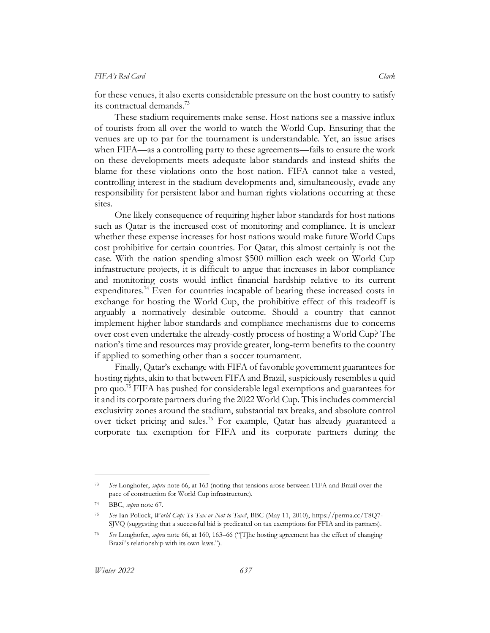for these venues, it also exerts considerable pressure on the host country to satisfy its contractual demands. 73

These stadium requirements make sense. Host nations see a massive influx of tourists from all over the world to watch the World Cup. Ensuring that the venues are up to par for the tournament is understandable. Yet, an issue arises when FIFA—as a controlling party to these agreements—fails to ensure the work on these developments meets adequate labor standards and instead shifts the blame for these violations onto the host nation. FIFA cannot take a vested, controlling interest in the stadium developments and, simultaneously, evade any responsibility for persistent labor and human rights violations occurring at these sites.

One likely consequence of requiring higher labor standards for host nations such as Qatar is the increased cost of monitoring and compliance. It is unclear whether these expense increases for host nations would make future World Cups cost prohibitive for certain countries. For Qatar, this almost certainly is not the case. With the nation spending almost \$500 million each week on World Cup infrastructure projects, it is difficult to argue that increases in labor compliance and monitoring costs would inflict financial hardship relative to its current expenditures.<sup>74</sup> Even for countries incapable of bearing these increased costs in exchange for hosting the World Cup, the prohibitive effect of this tradeoff is arguably a normatively desirable outcome. Should a country that cannot implement higher labor standards and compliance mechanisms due to concerns over cost even undertake the already-costly process of hosting a World Cup? The nation's time and resources may provide greater, long-term benefits to the country if applied to something other than a soccer tournament.

Finally, Qatar's exchange with FIFA of favorable government guarantees for hosting rights, akin to that between FIFA and Brazil, suspiciously resembles a quid pro quo.<sup>75</sup> FIFA has pushed for considerable legal exemptions and guarantees for it and its corporate partners during the 2022 World Cup. This includes commercial exclusivity zones around the stadium, substantial tax breaks, and absolute control over ticket pricing and sales.<sup>76</sup> For example, Qatar has already guaranteed a corporate tax exemption for FIFA and its corporate partners during the

<sup>73</sup> *See* Longhofer, *supra* note [66,](#page-16-0) at 163 (noting that tensions arose between FIFA and Brazil over the pace of construction for World Cup infrastructure).

<sup>74</sup> BBC, *supra* not[e 67.](#page-16-1)

<sup>75</sup> *See* Ian Pollock, *World Cup: To Tax or Not to Tax?*, BBC (May 11, 2010), https://perma.cc/T8Q7- SJVQ (suggesting that a successful bid is predicated on tax exemptions for FFIA and its partners).

<sup>76</sup> *See* Longhofer, *supra* note [66,](#page-16-0) at 160, 163–66 ("[T]he hosting agreement has the effect of changing Brazil's relationship with its own laws.").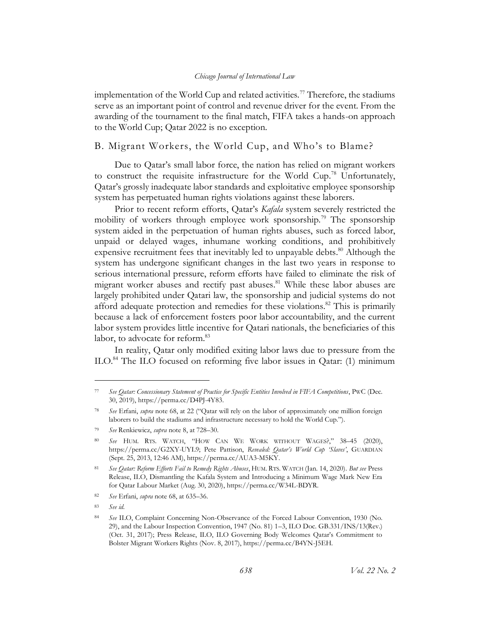implementation of the World Cup and related activities.<sup>77</sup> Therefore, the stadiums serve as an important point of control and revenue driver for the event. From the awarding of the tournament to the final match, FIFA takes a hands-on approach to the World Cup; Qatar 2022 is no exception.

## <span id="page-18-0"></span>B. Migrant Workers, the World Cup, and Who's to Blame?

Due to Qatar's small labor force, the nation has relied on migrant workers to construct the requisite infrastructure for the World Cup.<sup>78</sup> Unfortunately, Qatar's grossly inadequate labor standards and exploitative employee sponsorship system has perpetuated human rights violations against these laborers.

<span id="page-18-1"></span>Prior to recent reform efforts, Qatar's *Kafala* system severely restricted the mobility of workers through employee work sponsorship.<sup>79</sup> The sponsorship system aided in the perpetuation of human rights abuses, such as forced labor, unpaid or delayed wages, inhumane working conditions, and prohibitively expensive recruitment fees that inevitably led to unpayable debts. <sup>80</sup> Although the system has undergone significant changes in the last two years in response to serious international pressure, reform efforts have failed to eliminate the risk of migrant worker abuses and rectify past abuses. <sup>81</sup> While these labor abuses are largely prohibited under Qatari law, the sponsorship and judicial systems do not afford adequate protection and remedies for these violations.<sup>82</sup> This is primarily because a lack of enforcement fosters poor labor accountability, and the current labor system provides little incentive for Qatari nationals, the beneficiaries of this labor, to advocate for reform.<sup>83</sup>

In reality, Qatar only modified exiting labor laws due to pressure from the ILO.<sup>84</sup> The ILO focused on reforming five labor issues in Qatar: (1) minimum

<sup>77</sup> *See Qatar: Concessionary Statement of Practice for Specific Entities Involved in FIFA Competitions*, PWC (Dec. 30, 2019), https://perma.cc/D4PJ-4Y83.

<sup>78</sup> *See* Erfani, *supra* note [68](#page-16-2), at 22 ("Qatar will rely on the labor of approximately one million foreign laborers to build the stadiums and infrastructure necessary to hold the World Cup.").

<sup>79</sup> *See* Renkiewicz, *supra* not[e 8,](#page-4-1) at 728–30.

<sup>80</sup> *See* HUM. RTS. WATCH, "HOW CAN WE WORK WITHOUT WAGES?," 38–45 (2020), https://perma.cc/G2XY-UYL9; Pete Pattison, *Revealed: Qatar's World Cup 'Slaves'*, GUARDIAN (Sept. 25, 2013, 12:46 AM), https://perma.cc/AUA3-M5KY.

<sup>81</sup> *See Qatar: Reform Efforts Fail to Remedy Rights Abuses*, HUM. RTS. WATCH (Jan. 14, 2020). *But see* Press Release, ILO, Dismantling the Kafala System and Introducing a Minimum Wage Mark New Era for Qatar Labour Market (Aug. 30, 2020), https://perma.cc/W34L-BDYR.

<sup>82</sup> *See* Erfani, *supra* note [68,](#page-16-2) at 635–36.

<sup>83</sup> *See id.*

<sup>84</sup> *See* ILO, Complaint Concerning Non-Observance of the Forced Labour Convention, 1930 (No. 29), and the Labour Inspection Convention, 1947 (No. 81) 1–3, ILO Doc. GB.331/INS/13(Rev.) (Oct. 31, 2017); Press Release, ILO, ILO Governing Body Welcomes Qatar's Commitment to Bolster Migrant Workers Rights (Nov. 8, 2017), https://perma.cc/B4YN-J5EH.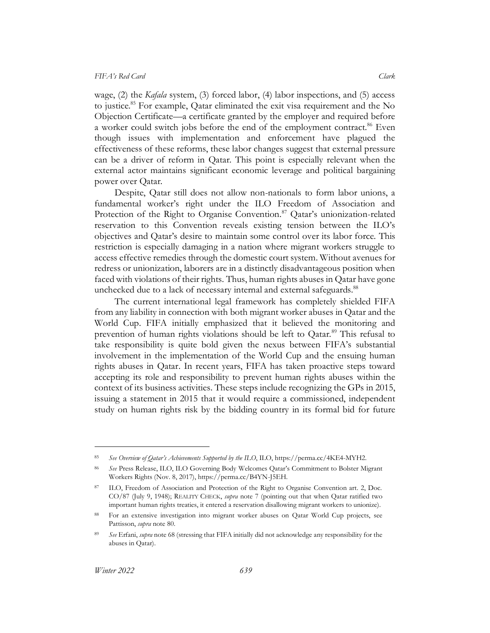wage, (2) the *Kafala* system, (3) forced labor, (4) labor inspections, and (5) access to justice.<sup>85</sup> For example, Qatar eliminated the exit visa requirement and the No Objection Certificate—a certificate granted by the employer and required before a worker could switch jobs before the end of the employment contract.<sup>86</sup> Even though issues with implementation and enforcement have plagued the effectiveness of these reforms, these labor changes suggest that external pressure can be a driver of reform in Qatar. This point is especially relevant when the external actor maintains significant economic leverage and political bargaining power over Qatar.

Despite, Qatar still does not allow non-nationals to form labor unions, a fundamental worker's right under the ILO Freedom of Association and Protection of the Right to Organise Convention.<sup>87</sup> Qatar's unionization-related reservation to this Convention reveals existing tension between the ILO's objectives and Qatar's desire to maintain some control over its labor force. This restriction is especially damaging in a nation where migrant workers struggle to access effective remedies through the domestic court system. Without avenues for redress or unionization, laborers are in a distinctly disadvantageous position when faced with violations of their rights. Thus, human rights abuses in Qatar have gone unchecked due to a lack of necessary internal and external safeguards.<sup>88</sup>

The current international legal framework has completely shielded FIFA from any liability in connection with both migrant worker abuses in Qatar and the World Cup. FIFA initially emphasized that it believed the monitoring and prevention of human rights violations should be left to Qatar.<sup>89</sup> This refusal to take responsibility is quite bold given the nexus between FIFA's substantial involvement in the implementation of the World Cup and the ensuing human rights abuses in Qatar. In recent years, FIFA has taken proactive steps toward accepting its role and responsibility to prevent human rights abuses within the context of its business activities. These steps include recognizing the GPs in 2015, issuing a statement in 2015 that it would require a commissioned, independent study on human rights risk by the bidding country in its formal bid for future

<sup>85</sup> *See Overview of Qatar's Achievements Supported by the ILO*, ILO, https://perma.cc/4KE4-MYH2.

<sup>86</sup> *See* Press Release, ILO, ILO Governing Body Welcomes Qatar's Commitment to Bolster Migrant Workers Rights (Nov. 8, 2017), https://perma.cc/B4YN-J5EH.

ILO, Freedom of Association and Protection of the Right to Organise Convention art. 2, Doc. CO/87 (July 9, 1948); REALITY CHECK, *supra* note [7](#page-4-0) (pointing out that when Qatar ratified two important human rights treaties, it entered a reservation disallowing migrant workers to unionize).

<sup>88</sup> For an extensive investigation into migrant worker abuses on Qatar World Cup projects, see Pattisson, *supra* not[e 80.](#page-18-1)

<sup>89</sup> *See* Erfani, *supra* not[e 68](#page-16-2) (stressing that FIFA initially did not acknowledge any responsibility for the abuses in Qatar).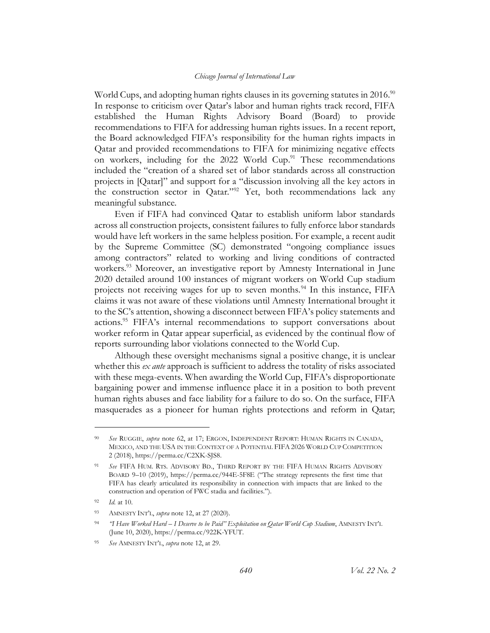World Cups, and adopting human rights clauses in its governing statutes in 2016.<sup>90</sup> In response to criticism over Qatar's labor and human rights track record, FIFA established the Human Rights Advisory Board (Board) to provide recommendations to FIFA for addressing human rights issues. In a recent report, the Board acknowledged FIFA's responsibility for the human rights impacts in Qatar and provided recommendations to FIFA for minimizing negative effects on workers, including for the 2022 World Cup.<sup>91</sup> These recommendations included the "creation of a shared set of labor standards across all construction projects in [Qatar]" and support for a "discussion involving all the key actors in the construction sector in Qatar."<sup>92</sup> Yet, both recommendations lack any meaningful substance.

Even if FIFA had convinced Qatar to establish uniform labor standards across all construction projects, consistent failures to fully enforce labor standards would have left workers in the same helpless position. For example, a recent audit by the Supreme Committee (SC) demonstrated "ongoing compliance issues among contractors" related to working and living conditions of contracted workers.<sup>93</sup> Moreover, an investigative report by Amnesty International in June 2020 detailed around 100 instances of migrant workers on World Cup stadium projects not receiving wages for up to seven months.<sup>94</sup> In this instance, FIFA claims it was not aware of these violations until Amnesty International brought it to the SC's attention, showing a disconnect between FIFA's policy statements and actions.<sup>95</sup> FIFA's internal recommendations to support conversations about worker reform in Qatar appear superficial, as evidenced by the continual flow of reports surrounding labor violations connected to the World Cup.

Although these oversight mechanisms signal a positive change, it is unclear whether this *ex ante* approach is sufficient to address the totality of risks associated with these mega-events. When awarding the World Cup, FIFA's disproportionate bargaining power and immense influence place it in a position to both prevent human rights abuses and face liability for a failure to do so. On the surface, FIFA masquerades as a pioneer for human rights protections and reform in Qatar;

<sup>90</sup> *See* RUGGIE, *supra* note [62,](#page-15-3) at 17; ERGON, INDEPENDENT REPORT: HUMAN RIGHTS IN CANADA, MEXICO, AND THE USA IN THE CONTEXT OF A POTENTIAL FIFA 2026 WORLD CUP COMPETITION 2 (2018), https://perma.cc/C2XK-SJS8.

<sup>91</sup> *See* FIFA HUM. RTS. ADVISORY BD., THIRD REPORT BY THE FIFA HUMAN RIGHTS ADVISORY BOARD 9–10 (2019), https://perma.cc/944E-5F8E ("The strategy represents the first time that FIFA has clearly articulated its responsibility in connection with impacts that are linked to the construction and operation of FWC stadia and facilities.").

<sup>92</sup> *Id.* at 10.

<sup>93</sup> AMNESTY INT'L, *supra* not[e 12,](#page-5-1) at 27 (2020).

<sup>94</sup> *"I Have Worked Hard – I Deserve to be Paid" Exploitation on Qatar World Cup Stadium*, AMNESTY INT'L (June 10, 2020), https://perma.cc/922K-YFUT.

<sup>95</sup> *See* AMNESTY INT'L, *supra* note [12,](#page-5-1) at 29.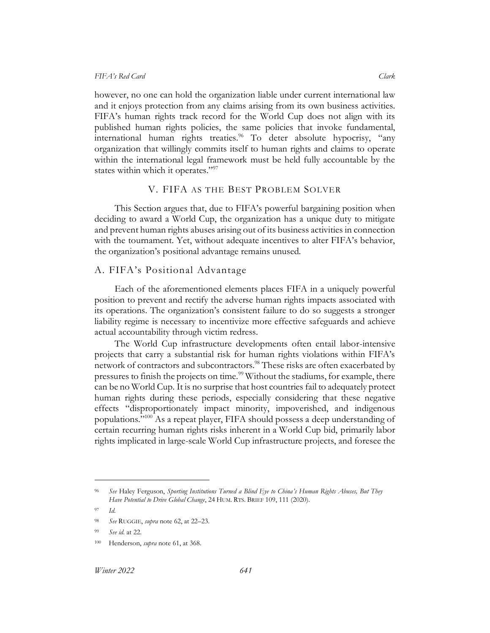however, no one can hold the organization liable under current international law and it enjoys protection from any claims arising from its own business activities. FIFA's human rights track record for the World Cup does not align with its published human rights policies, the same policies that invoke fundamental, international human rights treaties.<sup>96</sup> To deter absolute hypocrisy, "any organization that willingly commits itself to human rights and claims to operate within the international legal framework must be held fully accountable by the states within which it operates."<sup>97</sup>

## V. FIFA AS THE BEST PROBLEM SOLVER

<span id="page-21-0"></span>This Section argues that, due to FIFA's powerful bargaining position when deciding to award a World Cup, the organization has a unique duty to mitigate and prevent human rights abuses arising out of its business activities in connection with the tournament. Yet, without adequate incentives to alter FIFA's behavior, the organization's positional advantage remains unused.

## <span id="page-21-1"></span>A. FIFA's Positional Advantage

Each of the aforementioned elements places FIFA in a uniquely powerful position to prevent and rectify the adverse human rights impacts associated with its operations. The organization's consistent failure to do so suggests a stronger liability regime is necessary to incentivize more effective safeguards and achieve actual accountability through victim redress.

The World Cup infrastructure developments often entail labor-intensive projects that carry a substantial risk for human rights violations within FIFA's network of contractors and subcontractors.<sup>98</sup> These risks are often exacerbated by pressures to finish the projects on time.<sup>99</sup> Without the stadiums, for example, there can be no World Cup. It is no surprise that host countries fail to adequately protect human rights during these periods, especially considering that these negative effects "disproportionately impact minority, impoverished, and indigenous populations."<sup>100</sup> As a repeat player, FIFA should possess a deep understanding of certain recurring human rights risks inherent in a World Cup bid, primarily labor rights implicated in large-scale World Cup infrastructure projects, and foresee the

<sup>96</sup> *See* Haley Ferguson, *Sporting Institutions Turned a Blind Eye to China's Human Rights Abuses, But They Have Potential to Drive Global Change*, 24 HUM. RTS. BRIEF 109, 111 (2020).

<sup>97</sup> *Id.*

<sup>98</sup> *See* RUGGIE, *supra* not[e 62,](#page-15-3) at 22–23.

See id. at 22.

<sup>100</sup> Henderson, *supra* note [61,](#page-15-2) at 368.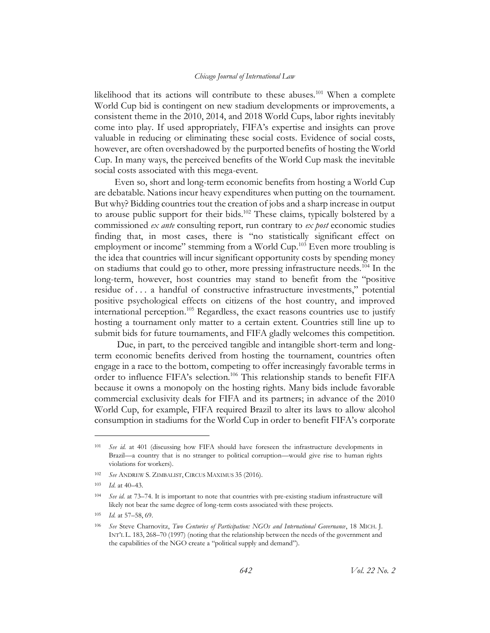likelihood that its actions will contribute to these abuses.<sup>101</sup> When a complete World Cup bid is contingent on new stadium developments or improvements, a consistent theme in the 2010, 2014, and 2018 World Cups, labor rights inevitably come into play. If used appropriately, FIFA's expertise and insights can prove valuable in reducing or eliminating these social costs. Evidence of social costs, however, are often overshadowed by the purported benefits of hosting the World Cup. In many ways, the perceived benefits of the World Cup mask the inevitable social costs associated with this mega-event.

Even so, short and long-term economic benefits from hosting a World Cup are debatable. Nations incur heavy expenditures when putting on the tournament. But why? Bidding countries tout the creation of jobs and a sharp increase in output to arouse public support for their bids.<sup>102</sup> These claims, typically bolstered by a commissioned *ex ante* consulting report, run contrary to *ex post* economic studies finding that, in most cases, there is "no statistically significant effect on employment or income" stemming from a World Cup.<sup>103</sup> Even more troubling is the idea that countries will incur significant opportunity costs by spending money on stadiums that could go to other, more pressing infrastructure needs.<sup>104</sup> In the long-term, however, host countries may stand to benefit from the "positive residue of . . . a handful of constructive infrastructure investments," potential positive psychological effects on citizens of the host country, and improved international perception.<sup>105</sup> Regardless, the exact reasons countries use to justify hosting a tournament only matter to a certain extent. Countries still line up to submit bids for future tournaments, and FIFA gladly welcomes this competition.

Due, in part, to the perceived tangible and intangible short-term and longterm economic benefits derived from hosting the tournament, countries often engage in a race to the bottom, competing to offer increasingly favorable terms in order to influence FIFA's selection.<sup>106</sup> This relationship stands to benefit FIFA because it owns a monopoly on the hosting rights. Many bids include favorable commercial exclusivity deals for FIFA and its partners; in advance of the 2010 World Cup, for example, FIFA required Brazil to alter its laws to allow alcohol consumption in stadiums for the World Cup in order to benefit FIFA's corporate

<sup>101</sup> *See id.* at 401 (discussing how FIFA should have foreseen the infrastructure developments in Brazil—a country that is no stranger to political corruption—would give rise to human rights violations for workers).

<sup>102</sup> *See* ANDREW S. ZIMBALIST, CIRCUS MAXIMUS 35 (2016).

<sup>103</sup> *Id*. at 40–43.

<sup>104</sup> *See id.* at 73–74. It is important to note that countries with pre-existing stadium infrastructure will likely not bear the same degree of long-term costs associated with these projects.

<sup>105</sup> *Id.* at 57–58, 69.

<sup>106</sup> *See* Steve Charnovitz, *Two Centuries of Participation: NGOs and International Governance*, 18 MICH. J. INT'L L. 183, 268–70 (1997) (noting that the relationship between the needs of the government and the capabilities of the NGO create a "political supply and demand").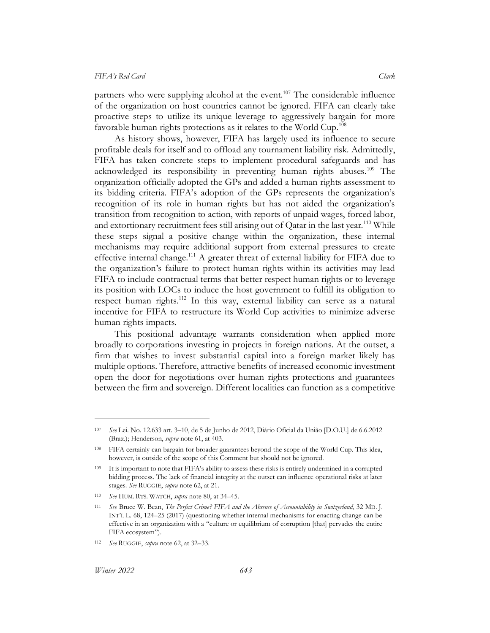partners who were supplying alcohol at the event.<sup>107</sup> The considerable influence of the organization on host countries cannot be ignored. FIFA can clearly take proactive steps to utilize its unique leverage to aggressively bargain for more favorable human rights protections as it relates to the World Cup.<sup>108</sup>

As history shows, however, FIFA has largely used its influence to secure profitable deals for itself and to offload any tournament liability risk. Admittedly, FIFA has taken concrete steps to implement procedural safeguards and has acknowledged its responsibility in preventing human rights abuses.<sup>109</sup> The organization officially adopted the GPs and added a human rights assessment to its bidding criteria. FIFA's adoption of the GPs represents the organization's recognition of its role in human rights but has not aided the organization's transition from recognition to action, with reports of unpaid wages, forced labor, and extortionary recruitment fees still arising out of Oatar in the last year.<sup>110</sup> While these steps signal a positive change within the organization, these internal mechanisms may require additional support from external pressures to create effective internal change.<sup>111</sup> A greater threat of external liability for FIFA due to the organization's failure to protect human rights within its activities may lead FIFA to include contractual terms that better respect human rights or to leverage its position with LOCs to induce the host government to fulfill its obligation to respect human rights.<sup>112</sup> In this way, external liability can serve as a natural incentive for FIFA to restructure its World Cup activities to minimize adverse human rights impacts.

<span id="page-23-0"></span>This positional advantage warrants consideration when applied more broadly to corporations investing in projects in foreign nations. At the outset, a firm that wishes to invest substantial capital into a foreign market likely has multiple options. Therefore, attractive benefits of increased economic investment open the door for negotiations over human rights protections and guarantees between the firm and sovereign. Different localities can function as a competitive

<sup>107</sup> *See* Lei. No. 12.633 art. 3–10, de 5 de Junho de 2012, Diário Oficial da União [D.O.U.] de 6.6.2012 (Braz.); Henderson, *supra* not[e 61,](#page-15-2) at 403.

<sup>108</sup> FIFA certainly can bargain for broader guarantees beyond the scope of the World Cup. This idea, however, is outside of the scope of this Comment but should not be ignored.

<sup>109</sup> It is important to note that FIFA's ability to assess these risks is entirely undermined in a corrupted bidding process. The lack of financial integrity at the outset can influence operational risks at later stages. *See* RUGGIE, *supra* not[e 62,](#page-15-3) at 21.

<sup>110</sup> *See* HUM. RTS. WATCH, *supra* note [80,](#page-18-1) at 34–45.

<sup>111</sup> *See* Bruce W. Bean, *The Perfect Crime? FIFA and the Absence of Accountability in Switzerland*, 32 MD. J. INT'L L. 68, 124–25 (2017) (questioning whether internal mechanisms for enacting change can be effective in an organization with a "culture or equilibrium of corruption [that] pervades the entire FIFA ecosystem").

<sup>112</sup> *See* RUGGIE, *supra* not[e 62,](#page-15-3) at 32–33.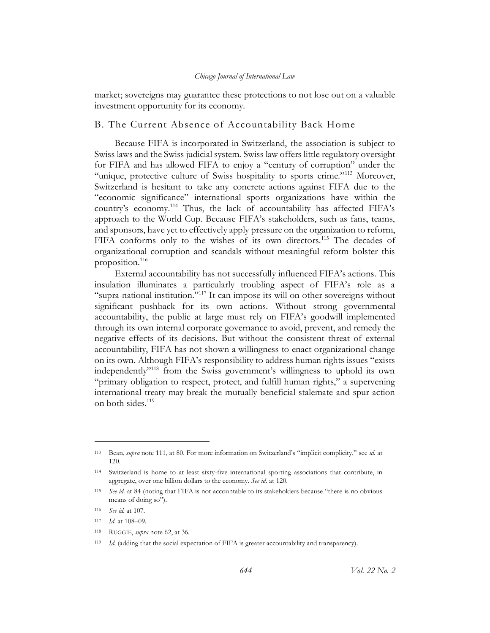market; sovereigns may guarantee these protections to not lose out on a valuable investment opportunity for its economy.

### <span id="page-24-0"></span>B. The Current Absence of Accountability Back Home

Because FIFA is incorporated in Switzerland, the association is subject to Swiss laws and the Swiss judicial system. Swiss law offers little regulatory oversight for FIFA and has allowed FIFA to enjoy a "century of corruption" under the "unique, protective culture of Swiss hospitality to sports crime."<sup>113</sup> Moreover, Switzerland is hesitant to take any concrete actions against FIFA due to the "economic significance" international sports organizations have within the country's economy.<sup>114</sup> Thus, the lack of accountability has affected FIFA's approach to the World Cup. Because FIFA's stakeholders, such as fans, teams, and sponsors, have yet to effectively apply pressure on the organization to reform, FIFA conforms only to the wishes of its own directors.<sup>115</sup> The decades of organizational corruption and scandals without meaningful reform bolster this proposition.<sup>116</sup>

External accountability has not successfully influenced FIFA's actions. This insulation illuminates a particularly troubling aspect of FIFA's role as a "supra-national institution."<sup>117</sup> It can impose its will on other sovereigns without significant pushback for its own actions. Without strong governmental accountability, the public at large must rely on FIFA's goodwill implemented through its own internal corporate governance to avoid, prevent, and remedy the negative effects of its decisions. But without the consistent threat of external accountability, FIFA has not shown a willingness to enact organizational change on its own. Although FIFA's responsibility to address human rights issues "exists independently"<sup>118</sup> from the Swiss government's willingness to uphold its own "primary obligation to respect, protect, and fulfill human rights," a supervening international treaty may break the mutually beneficial stalemate and spur action on both sides.<sup>119</sup>

<sup>113</sup> Bean, *supra* not[e 111](#page-23-0), at 80. For more information on Switzerland's "implicit complicity," see *id.* at 120.

<sup>114</sup> Switzerland is home to at least sixty-five international sporting associations that contribute, in aggregate, over one billion dollars to the economy. *See id.* at 120.

<sup>115</sup> *See id.* at 84 (noting that FIFA is not accountable to its stakeholders because "there is no obvious means of doing so").

<sup>116</sup> *See id.* at 107.

<sup>117</sup> *Id*. at 108–09.

<sup>118</sup> RUGGIE, *supra* not[e 62,](#page-15-3) at 36.

<sup>119</sup> *Id.* (adding that the social expectation of FIFA is greater accountability and transparency).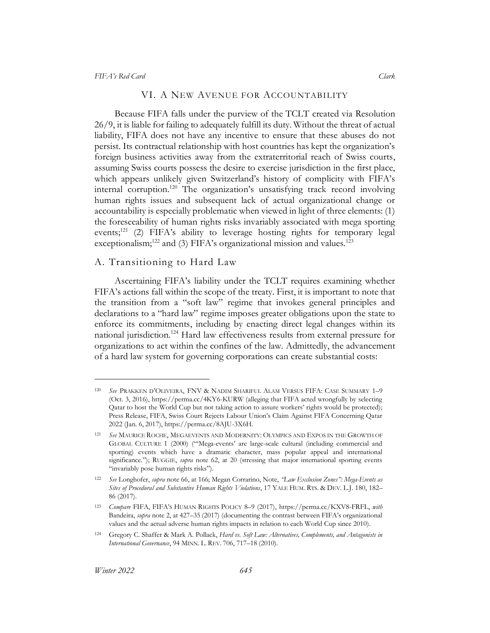#### <span id="page-25-4"></span>VI. A NEW AVENUE FOR ACCOUNTABILITY

<span id="page-25-0"></span>Because FIFA falls under the purview of the TCLT created via Resolution 26/9, it is liable for failing to adequately fulfill its duty. Without the threat of actual liability, FIFA does not have any incentive to ensure that these abuses do not persist. Its contractual relationship with host countries has kept the organization's foreign business activities away from the extraterritorial reach of Swiss courts, assuming Swiss courts possess the desire to exercise jurisdiction in the first place, which appears unlikely given Switzerland's history of complicity with FIFA's internal corruption.<sup>120</sup> The organization's unsatisfying track record involving human rights issues and subsequent lack of actual organizational change or accountability is especially problematic when viewed in light of three elements: (1) the foreseeability of human rights risks invariably associated with mega sporting events;<sup>121</sup> (2) FIFA's ability to leverage hosting rights for temporary legal exceptionalism;<sup>122</sup> and (3) FIFA's organizational mission and values.<sup>123</sup>

#### <span id="page-25-2"></span><span id="page-25-1"></span>A. Transitioning to Hard Law

<span id="page-25-3"></span>Ascertaining FIFA's liability under the TCLT requires examining whether FIFA's actions fall within the scope of the treaty. First, it is important to note that the transition from a "soft law" regime that invokes general principles and declarations to a "hard law" regime imposes greater obligations upon the state to enforce its commitments, including by enacting direct legal changes within its national jurisdiction.<sup>124</sup> Hard law effectiveness results from external pressure for organizations to act within the confines of the law. Admittedly, the advancement of a hard law system for governing corporations can create substantial costs:

<sup>120</sup> *See* PRAKKEN D'OLIVEIRA, FNV & NADIM SHARIFUL ALAM VERSUS FIFA: CASE SUMMARY 1–9 (Oct. 3, 2016), https://perma.cc/4KY6-KURW (alleging that FIFA acted wrongfully by selecting Qatar to host the World Cup but not taking action to assure workers' rights would be protected); Press Release, FIFA, Swiss Court Rejects Labour Union's Claim Against FIFA Concerning Qatar 2022 (Jan. 6, 2017), https://perma.cc/8AJU-3X6H.

See MAURICE ROCHE, MEGAEVENTS AND MODERNITY: OLYMPICS AND EXPOS IN THE GROWTH OF GLOBAL CULTURE 1 (2000) ("'Mega-events' are large-scale cultural (including commercial and sporting) events which have a dramatic character, mass popular appeal and international significance."); RUGGIE, *supra* note [62,](#page-15-3) at 20 (stressing that major international sporting events "invariably pose human rights risks").

<sup>122</sup> *See* Longhofer, *supra* not[e 66,](#page-16-0) at 166; Megan Corrarino, Note, *"Law Exclusion Zones": Mega-Events as Sites of Procedural and Substantive Human Rights Violations*, 17 YALE HUM. RTS. & DEV. L.J. 180, 182– 86 (2017).

<sup>123</sup> *Compare* FIFA, FIFA'S HUMAN RIGHTS POLICY 8–9 (2017), https://perma.cc/KXV8-FRFL, *with*  Bandeira, *supra* not[e 2,](#page-3-2) at 427–35 (2017) (documenting the contrast between FIFA's organizational values and the actual adverse human rights impacts in relation to each World Cup since 2010).

<sup>124</sup> Gregory C. Shaffer & Mark A. Pollack, *Hard vs. Soft Law: Alternatives, Complements, and Antagonists in International Governance*, 94 MINN. L. REV. 706, 717–18 (2010).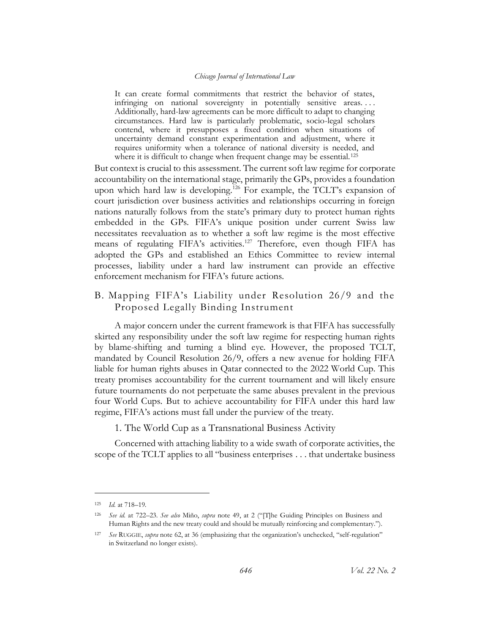It can create formal commitments that restrict the behavior of states, infringing on national sovereignty in potentially sensitive areas. . . . Additionally, hard-law agreements can be more difficult to adapt to changing circumstances. Hard law is particularly problematic, socio-legal scholars contend, where it presupposes a fixed condition when situations of uncertainty demand constant experimentation and adjustment, where it requires uniformity when a tolerance of national diversity is needed, and where it is difficult to change when frequent change may be essential.<sup>125</sup>

But context is crucial to this assessment. The current soft law regime for corporate accountability on the international stage, primarily the GPs, provides a foundation upon which hard law is developing.<sup>126</sup> For example, the TCLT's expansion of court jurisdiction over business activities and relationships occurring in foreign nations naturally follows from the state's primary duty to protect human rights embedded in the GPs. FIFA's unique position under current Swiss law necessitates reevaluation as to whether a soft law regime is the most effective means of regulating FIFA's activities.<sup>127</sup> Therefore, even though FIFA has adopted the GPs and established an Ethics Committee to review internal processes, liability under a hard law instrument can provide an effective enforcement mechanism for FIFA's future actions.

## <span id="page-26-0"></span>B. Mapping FIFA's Liability under Resolution 26/9 and the Proposed Legally Binding Instrument

A major concern under the current framework is that FIFA has successfully skirted any responsibility under the soft law regime for respecting human rights by blame-shifting and turning a blind eye. However, the proposed TCLT, mandated by Council Resolution 26/9, offers a new avenue for holding FIFA liable for human rights abuses in Qatar connected to the 2022 World Cup. This treaty promises accountability for the current tournament and will likely ensure future tournaments do not perpetuate the same abuses prevalent in the previous four World Cups. But to achieve accountability for FIFA under this hard law regime, FIFA's actions must fall under the purview of the treaty.

1. The World Cup as a Transnational Business Activity

<span id="page-26-1"></span>Concerned with attaching liability to a wide swath of corporate activities, the scope of the TCLT applies to all "business enterprises . . . that undertake business

<sup>125</sup> *Id.* at 718–19.

<sup>126</sup> *See id.* at 722–23. *See also* Miño, *supra* note [49](#page-12-1), at 2 ("[T]he Guiding Principles on Business and Human Rights and the new treaty could and should be mutually reinforcing and complementary.").

<sup>127</sup> *See* RUGGIE, *supra* note [62,](#page-15-3) at 36 (emphasizing that the organization's unchecked, "self-regulation" in Switzerland no longer exists).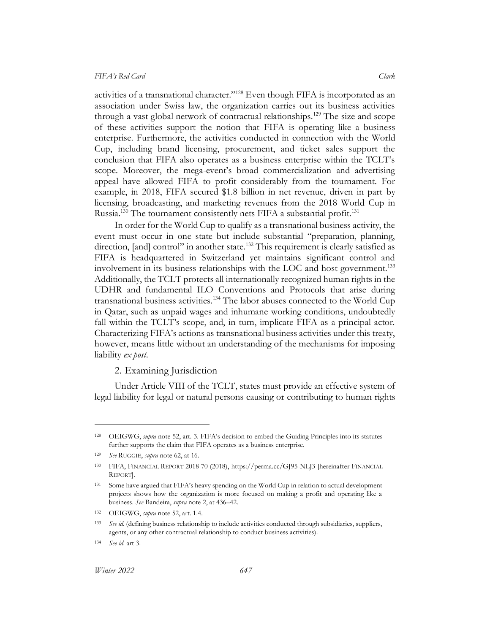activities of a transnational character."<sup>128</sup> Even though FIFA is incorporated as an association under Swiss law, the organization carries out its business activities through a vast global network of contractual relationships.<sup>129</sup> The size and scope of these activities support the notion that FIFA is operating like a business enterprise. Furthermore, the activities conducted in connection with the World Cup, including brand licensing, procurement, and ticket sales support the conclusion that FIFA also operates as a business enterprise within the TCLT's scope. Moreover, the mega-event's broad commercialization and advertising appeal have allowed FIFA to profit considerably from the tournament. For example, in 2018, FIFA secured \$1.8 billion in net revenue, driven in part by licensing, broadcasting, and marketing revenues from the 2018 World Cup in Russia.<sup>130</sup> The tournament consistently nets FIFA a substantial profit.<sup>131</sup>

<span id="page-27-1"></span>In order for the World Cup to qualify as a transnational business activity, the event must occur in one state but include substantial "preparation, planning, direction, [and] control" in another state.<sup>132</sup> This requirement is clearly satisfied as FIFA is headquartered in Switzerland yet maintains significant control and involvement in its business relationships with the LOC and host government.<sup>133</sup> Additionally, the TCLT protects all internationally recognized human rights in the UDHR and fundamental ILO Conventions and Protocols that arise during transnational business activities.<sup>134</sup> The labor abuses connected to the World Cup in Qatar, such as unpaid wages and inhumane working conditions, undoubtedly fall within the TCLT's scope, and, in turn, implicate FIFA as a principal actor. Characterizing FIFA's actions as transnational business activities under this treaty, however, means little without an understanding of the mechanisms for imposing liability *ex post*.

## 2. Examining Jurisdiction

<span id="page-27-0"></span>Under Article VIII of the TCLT, states must provide an effective system of legal liability for legal or natural persons causing or contributing to human rights

<sup>128</sup> OEIGWG, *supra* not[e 52](#page-13-0), art. 3. FIFA's decision to embed the Guiding Principles into its statutes further supports the claim that FIFA operates as a business enterprise.

<sup>129</sup> *See* RUGGIE, *supra* not[e 62,](#page-15-3) at 16.

<sup>130</sup> FIFA, FINANCIAL REPORT 2018 70 (2018), https://perma.cc/GJ95-NLJ3 [hereinafter FINANCIAL REPORT].

<sup>131</sup> Some have argued that FIFA's heavy spending on the World Cup in relation to actual development projects shows how the organization is more focused on making a profit and operating like a business. *See* Bandeira, *supra* not[e 2,](#page-3-2) at 436–42.

<sup>132</sup> OEIGWG, *supra* note [52,](#page-13-0) art. 1.4.

<sup>133</sup> *See id.* (defining business relationship to include activities conducted through subsidiaries, suppliers, agents, or any other contractual relationship to conduct business activities).

<sup>134</sup> *See id.* art 3.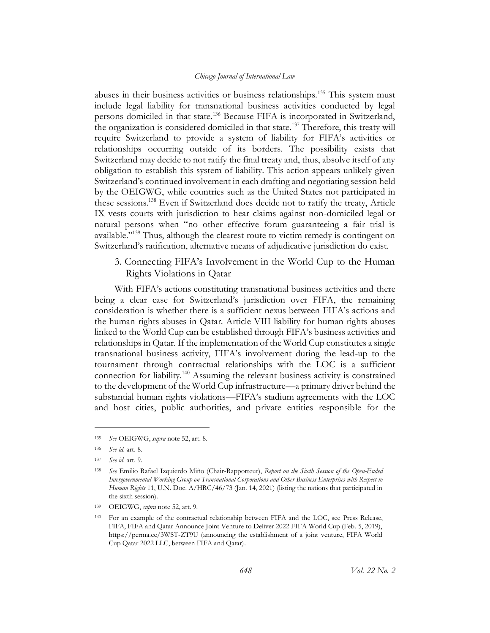abuses in their business activities or business relationships.<sup>135</sup> This system must include legal liability for transnational business activities conducted by legal persons domiciled in that state.<sup>136</sup> Because FIFA is incorporated in Switzerland, the organization is considered domiciled in that state.<sup>137</sup> Therefore, this treaty will require Switzerland to provide a system of liability for FIFA's activities or relationships occurring outside of its borders. The possibility exists that Switzerland may decide to not ratify the final treaty and, thus, absolve itself of any obligation to establish this system of liability. This action appears unlikely given Switzerland's continued involvement in each drafting and negotiating session held by the OEIGWG, while countries such as the United States not participated in these sessions.<sup>138</sup> Even if Switzerland does decide not to ratify the treaty, Article IX vests courts with jurisdiction to hear claims against non-domiciled legal or natural persons when "no other effective forum guaranteeing a fair trial is available."<sup>139</sup> Thus, although the clearest route to victim remedy is contingent on Switzerland's ratification, alternative means of adjudicative jurisdiction do exist.

<span id="page-28-0"></span>3. Connecting FIFA's Involvement in the World Cup to the Human Rights Violations in Qatar

With FIFA's actions constituting transnational business activities and there being a clear case for Switzerland's jurisdiction over FIFA, the remaining consideration is whether there is a sufficient nexus between FIFA's actions and the human rights abuses in Qatar. Article VIII liability for human rights abuses linked to the World Cup can be established through FIFA's business activities and relationships in Qatar. If the implementation of the World Cup constitutes a single transnational business activity, FIFA's involvement during the lead-up to the tournament through contractual relationships with the LOC is a sufficient connection for liability.<sup>140</sup> Assuming the relevant business activity is constrained to the development of the World Cup infrastructure—a primary driver behind the substantial human rights violations—FIFA's stadium agreements with the LOC and host cities, public authorities, and private entities responsible for the

<sup>135</sup> *See* OEIGWG, *supra* note [52,](#page-13-0) art. 8.

<sup>136</sup> *See id.* art. 8.

<sup>137</sup> *See id.* art. 9.

<sup>138</sup> *See* Emilio Rafael Izquierdo Miño (Chair-Rapporteur), *Report on the Sixth Session of the Open-Ended Intergovernmental Working Group on Transnational Corporations and Other Business Enterprises with Respect to Human Rights* 11, U.N. Doc. A/HRC/46/73 (Jan. 14, 2021) (listing the nations that participated in the sixth session).

<sup>139</sup> OEIGWG, *supra* note [52,](#page-13-0) art. 9.

<sup>140</sup> For an example of the contractual relationship between FIFA and the LOC, see Press Release, FIFA, FIFA and Qatar Announce Joint Venture to Deliver 2022 FIFA World Cup (Feb. 5, 2019), https://perma.cc/3WST-ZT9U (announcing the establishment of a joint venture, FIFA World Cup Qatar 2022 LLC, between FIFA and Qatar).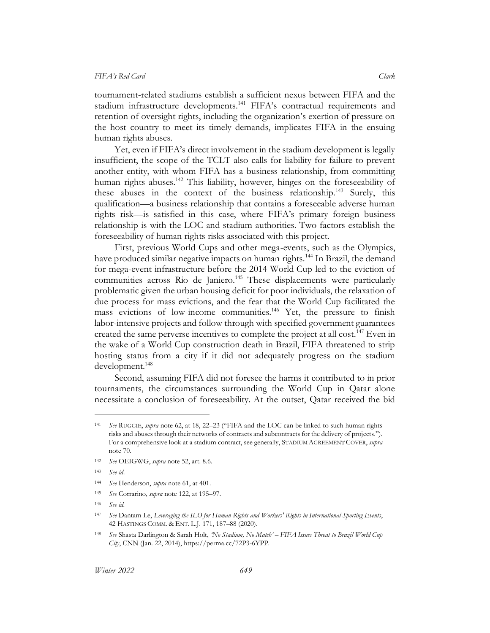tournament-related stadiums establish a sufficient nexus between FIFA and the stadium infrastructure developments.<sup>141</sup> FIFA's contractual requirements and retention of oversight rights, including the organization's exertion of pressure on the host country to meet its timely demands, implicates FIFA in the ensuing human rights abuses.

Yet, even if FIFA's direct involvement in the stadium development is legally insufficient, the scope of the TCLT also calls for liability for failure to prevent another entity, with whom FIFA has a business relationship, from committing human rights abuses.<sup>142</sup> This liability, however, hinges on the foreseeability of these abuses in the context of the business relationship.<sup>143</sup> Surely, this qualification—a business relationship that contains a foreseeable adverse human rights risk—is satisfied in this case, where FIFA's primary foreign business relationship is with the LOC and stadium authorities. Two factors establish the foreseeability of human rights risks associated with this project.

First, previous World Cups and other mega-events, such as the Olympics, have produced similar negative impacts on human rights.<sup>144</sup> In Brazil, the demand for mega-event infrastructure before the 2014 World Cup led to the eviction of communities across Rio de Janiero.<sup>145</sup> These displacements were particularly problematic given the urban housing deficit for poor individuals, the relaxation of due process for mass evictions, and the fear that the World Cup facilitated the mass evictions of low-income communities.<sup>146</sup> Yet, the pressure to finish labor-intensive projects and follow through with specified government guarantees created the same perverse incentives to complete the project at all cost.<sup>147</sup> Even in the wake of a World Cup construction death in Brazil, FIFA threatened to strip hosting status from a city if it did not adequately progress on the stadium development.<sup>148</sup>

<span id="page-29-0"></span>Second, assuming FIFA did not foresee the harms it contributed to in prior tournaments, the circumstances surrounding the World Cup in Qatar alone necessitate a conclusion of foreseeability. At the outset, Qatar received the bid

<sup>141</sup> *See* RUGGIE, *supra* not[e 62,](#page-15-3) at 18, 22–23 ("FIFA and the LOC can be linked to such human rights risks and abuses through their networks of contracts and subcontracts for the delivery of projects."). For a comprehensive look at a stadium contract, see generally, STADIUM AGREEMENT COVER, *supra*  note [70.](#page-16-3) 

<sup>142</sup> *See* OEIGWG, *supra* note [52,](#page-13-0) art. 8.6.

<sup>143</sup> *See id*.

<sup>144</sup> *See* Henderson, *supra* note [61,](#page-15-2) at 401.

<sup>145</sup> *See* Corrarino, *supra* not[e 122,](#page-25-2) at 195–97.

<sup>146</sup> *See id.*

<sup>147</sup> *See* Dantam Le, *Leveraging the ILO for Human Rights and Workers' Rights in International Sporting Events*, 42 HASTINGS COMM. & ENT. L.J. 171, 187–88 (2020).

<sup>148</sup> *See* Shasta Darlington & Sarah Holt, *'No Stadium, No Match' – FIFA Issues Threat to Brazil World Cup City*, CNN (Jan. 22, 2014), https://perma.cc/72P3-6YPP.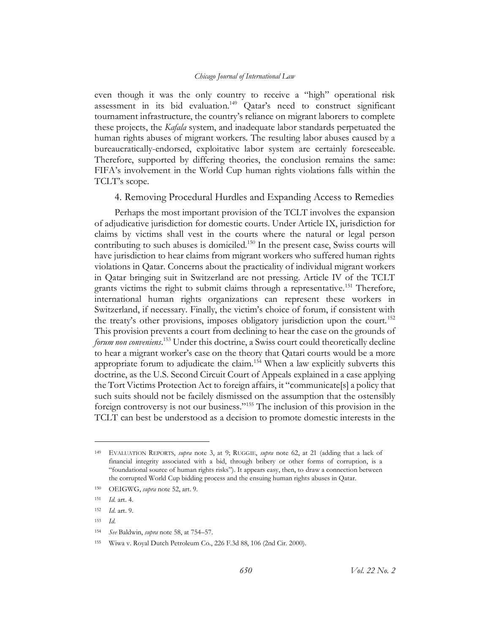even though it was the only country to receive a "high" operational risk assessment in its bid evaluation.<sup>149</sup> Qatar's need to construct significant tournament infrastructure, the country's reliance on migrant laborers to complete these projects, the *Kafala* system, and inadequate labor standards perpetuated the human rights abuses of migrant workers. The resulting labor abuses caused by a bureaucratically-endorsed, exploitative labor system are certainly foreseeable. Therefore, supported by differing theories, the conclusion remains the same: FIFA's involvement in the World Cup human rights violations falls within the TCLT's scope.

4. Removing Procedural Hurdles and Expanding Access to Remedies

<span id="page-30-0"></span>Perhaps the most important provision of the TCLT involves the expansion of adjudicative jurisdiction for domestic courts. Under Article IX, jurisdiction for claims by victims shall vest in the courts where the natural or legal person contributing to such abuses is domiciled.<sup>150</sup> In the present case, Swiss courts will have jurisdiction to hear claims from migrant workers who suffered human rights violations in Qatar. Concerns about the practicality of individual migrant workers in Qatar bringing suit in Switzerland are not pressing. Article IV of the TCLT grants victims the right to submit claims through a representative.<sup>151</sup> Therefore, international human rights organizations can represent these workers in Switzerland, if necessary. Finally, the victim's choice of forum, if consistent with the treaty's other provisions, imposes obligatory jurisdiction upon the court.<sup>152</sup> This provision prevents a court from declining to hear the case on the grounds of *forum non conveniens*. <sup>153</sup> Under this doctrine, a Swiss court could theoretically decline to hear a migrant worker's case on the theory that Qatari courts would be a more appropriate forum to adjudicate the claim.<sup>154</sup> When a law explicitly subverts this doctrine, as the U.S. Second Circuit Court of Appeals explained in a case applying the Tort Victims Protection Act to foreign affairs, it "communicate[s] a policy that such suits should not be facilely dismissed on the assumption that the ostensibly foreign controversy is not our business."<sup>155</sup> The inclusion of this provision in the TCLT can best be understood as a decision to promote domestic interests in the

<sup>149</sup> EVALUATION REPORTS, *supra* note [3,](#page-3-1) at 9; RUGGIE, *supra* note [62,](#page-15-3) at 21 (adding that a lack of financial integrity associated with a bid, through bribery or other forms of corruption, is a "foundational source of human rights risks"). It appears easy, then, to draw a connection between the corrupted World Cup bidding process and the ensuing human rights abuses in Qatar.

<sup>150</sup> OEIGWG, *supra* note [52,](#page-13-0) art. 9.

<sup>151</sup> *Id.* art. 4.

<sup>152</sup> *Id*. art. 9.

<sup>153</sup> *Id.*

<sup>154</sup> *See* Baldwin, *supra* not[e 58,](#page-14-0) at 754–57.

<sup>155</sup> Wiwa v. Royal Dutch Petroleum Co., 226 F.3d 88, 106 (2nd Cir. 2000).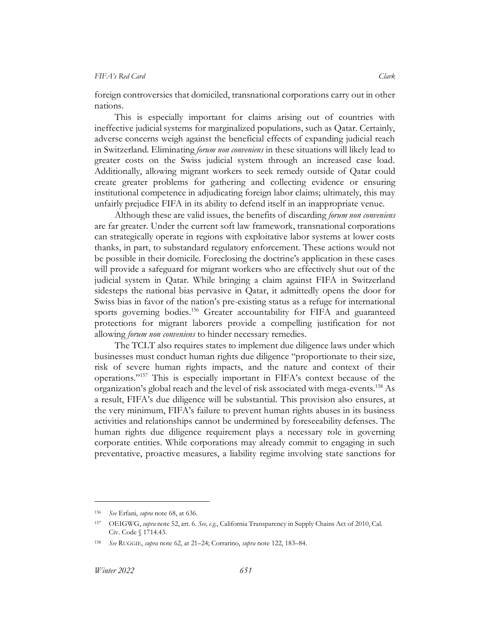foreign controversies that domiciled, transnational corporations carry out in other nations.

This is especially important for claims arising out of countries with ineffective judicial systems for marginalized populations, such as Qatar. Certainly, adverse concerns weigh against the beneficial effects of expanding judicial reach in Switzerland. Eliminating *forum non conveniens* in these situations will likely lead to greater costs on the Swiss judicial system through an increased case load. Additionally, allowing migrant workers to seek remedy outside of Qatar could create greater problems for gathering and collecting evidence or ensuring institutional competence in adjudicating foreign labor claims; ultimately, this may unfairly prejudice FIFA in its ability to defend itself in an inappropriate venue.

Although these are valid issues, the benefits of discarding *forum non conveniens*  are far greater. Under the current soft law framework, transnational corporations can strategically operate in regions with exploitative labor systems at lower costs thanks, in part, to substandard regulatory enforcement. These actions would not be possible in their domicile. Foreclosing the doctrine's application in these cases will provide a safeguard for migrant workers who are effectively shut out of the judicial system in Qatar. While bringing a claim against FIFA in Switzerland sidesteps the national bias pervasive in Qatar, it admittedly opens the door for Swiss bias in favor of the nation's pre-existing status as a refuge for international sports governing bodies. <sup>156</sup> Greater accountability for FIFA and guaranteed protections for migrant laborers provide a compelling justification for not allowing *forum non conveniens* to hinder necessary remedies.

The TCLT also requires states to implement due diligence laws under which businesses must conduct human rights due diligence "proportionate to their size, risk of severe human rights impacts, and the nature and context of their operations."<sup>157</sup> This is especially important in FIFA's context because of the organization's global reach and the level of risk associated with mega-events.<sup>158</sup> As a result, FIFA's due diligence will be substantial. This provision also ensures, at the very minimum, FIFA's failure to prevent human rights abuses in its business activities and relationships cannot be undermined by foreseeability defenses. The human rights due diligence requirement plays a necessary role in governing corporate entities. While corporations may already commit to engaging in such preventative, proactive measures, a liability regime involving state sanctions for

<sup>156</sup> *See* Erfani, *supra* note [68,](#page-16-2) at 636.

<sup>157</sup> OEIGWG, *supra* not[e 52,](#page-13-0) art. 6. *See, e.g.*, California Transparency in Supply Chains Act of 2010, Cal. Civ. Code § 1714.43.

<sup>158</sup> *See* RUGGIE, *supra* not[e 62,](#page-15-3) at 21–24; Corrarino, *supra* not[e 122,](#page-25-2) 183–84.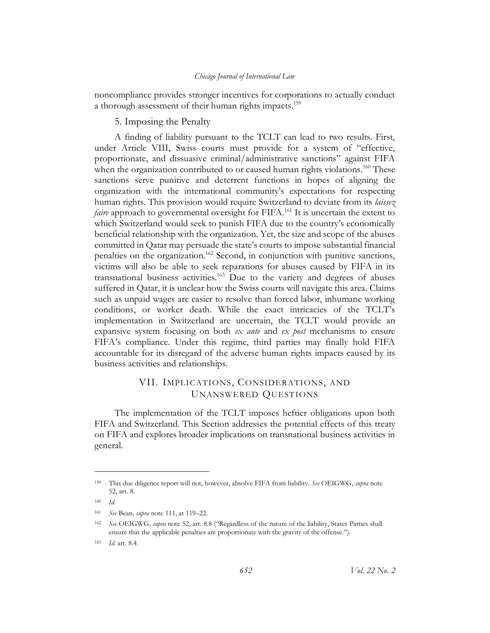<span id="page-32-0"></span>noncompliance provides stronger incentives for corporations to actually conduct a thorough assessment of their human rights impacts.<sup>159</sup>

#### 5. Imposing the Penalty

A finding of liability pursuant to the TCLT can lead to two results. First, under Article VIII, Swiss courts must provide for a system of "effective, proportionate, and dissuasive criminal/administrative sanctions" against FIFA when the organization contributed to or caused human rights violations.<sup>160</sup> These sanctions serve punitive and deterrent functions in hopes of aligning the organization with the international community's expectations for respecting human rights. This provision would require Switzerland to deviate from its *laissez faire* approach to governmental oversight for FIFA.<sup>161</sup> It is uncertain the extent to which Switzerland would seek to punish FIFA due to the country's economically beneficial relationship with the organization. Yet, the size and scope of the abuses committed in Qatar may persuade the state's courts to impose substantial financial penalties on the organization.<sup>162</sup> Second, in conjunction with punitive sanctions, victims will also be able to seek reparations for abuses caused by FIFA in its transnational business activities.<sup>163</sup> Due to the variety and degrees of abuses suffered in Qatar, it is unclear how the Swiss courts will navigate this area. Claims such as unpaid wages are easier to resolve than forced labor, inhumane working conditions, or worker death. While the exact intricacies of the TCLT's implementation in Switzerland are uncertain, the TCLT would provide an expansive system focusing on both *ex ante* and *ex post* mechanisms to ensure FIFA's compliance. Under this regime, third parties may finally hold FIFA accountable for its disregard of the adverse human rights impacts caused by its business activities and relationships.

## VII. IMPLICATIONS, CONSIDERATIONS, AND UNANSWERED QUESTIONS

<span id="page-32-1"></span>The implementation of the TCLT imposes heftier obligations upon both FIFA and Switzerland. This Section addresses the potential effects of this treaty on FIFA and explores broader implications on transnational business activities in general.

<sup>159</sup> This due diligence report will not, however, absolve FIFA from liability. *See* OEIGWG, *supra* note [52,](#page-13-0) art. 8.

<sup>160</sup> *Id.*

<sup>161</sup> *See* Bean, *supra* not[e 111,](#page-23-0) at 119–22.

<sup>162</sup> *See* OEIGWG, *supra* not[e 52,](#page-13-0) art. 8.8 ("Regardless of the nature of the liability, States Parties shall ensure that the applicable penalties are proportionate with the gravity of the offense.").

<sup>163</sup> *Id.* art. 8.4.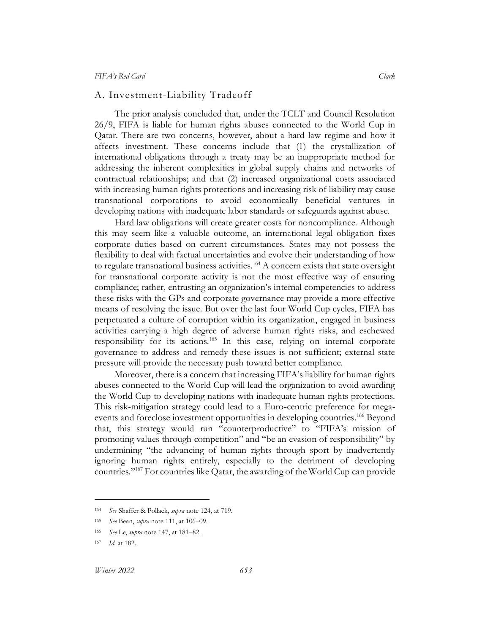### <span id="page-33-0"></span>A. Investment-Liability Tradeoff

The prior analysis concluded that, under the TCLT and Council Resolution 26/9, FIFA is liable for human rights abuses connected to the World Cup in Qatar. There are two concerns, however, about a hard law regime and how it affects investment. These concerns include that (1) the crystallization of international obligations through a treaty may be an inappropriate method for addressing the inherent complexities in global supply chains and networks of contractual relationships; and that (2) increased organizational costs associated with increasing human rights protections and increasing risk of liability may cause transnational corporations to avoid economically beneficial ventures in developing nations with inadequate labor standards or safeguards against abuse.

Hard law obligations will create greater costs for noncompliance. Although this may seem like a valuable outcome, an international legal obligation fixes corporate duties based on current circumstances. States may not possess the flexibility to deal with factual uncertainties and evolve their understanding of how to regulate transnational business activities.<sup>164</sup> A concern exists that state oversight for transnational corporate activity is not the most effective way of ensuring compliance; rather, entrusting an organization's internal competencies to address these risks with the GPs and corporate governance may provide a more effective means of resolving the issue. But over the last four World Cup cycles, FIFA has perpetuated a culture of corruption within its organization, engaged in business activities carrying a high degree of adverse human rights risks, and eschewed responsibility for its actions.<sup>165</sup> In this case, relying on internal corporate governance to address and remedy these issues is not sufficient; external state pressure will provide the necessary push toward better compliance.

Moreover, there is a concern that increasing FIFA's liability for human rights abuses connected to the World Cup will lead the organization to avoid awarding the World Cup to developing nations with inadequate human rights protections. This risk-mitigation strategy could lead to a Euro-centric preference for megaevents and foreclose investment opportunities in developing countries.<sup>166</sup> Beyond that, this strategy would run "counterproductive" to "FIFA's mission of promoting values through competition" and "be an evasion of responsibility" by undermining "the advancing of human rights through sport by inadvertently ignoring human rights entirely, especially to the detriment of developing countries."<sup>167</sup> For countries like Qatar, the awarding of the World Cup can provide

<sup>164</sup> *See* Shaffer & Pollack, *supra* not[e 124,](#page-25-3) at 719.

<sup>165</sup> *See* Bean, *supra* not[e 111,](#page-23-0) at 106–09.

<sup>166</sup> *See* Le, *supra* note [147,](#page-29-0) at 181–82.

<sup>167</sup> *Id.* at 182.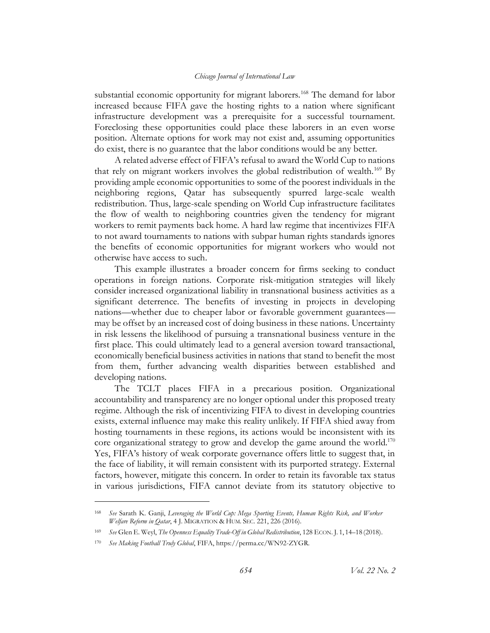substantial economic opportunity for migrant laborers.<sup>168</sup> The demand for labor increased because FIFA gave the hosting rights to a nation where significant infrastructure development was a prerequisite for a successful tournament. Foreclosing these opportunities could place these laborers in an even worse position. Alternate options for work may not exist and, assuming opportunities do exist, there is no guarantee that the labor conditions would be any better.

A related adverse effect of FIFA's refusal to award the World Cup to nations that rely on migrant workers involves the global redistribution of wealth.<sup>169</sup> By providing ample economic opportunities to some of the poorest individuals in the neighboring regions, Qatar has subsequently spurred large-scale wealth redistribution. Thus, large-scale spending on World Cup infrastructure facilitates the flow of wealth to neighboring countries given the tendency for migrant workers to remit payments back home. A hard law regime that incentivizes FIFA to not award tournaments to nations with subpar human rights standards ignores the benefits of economic opportunities for migrant workers who would not otherwise have access to such.

This example illustrates a broader concern for firms seeking to conduct operations in foreign nations. Corporate risk-mitigation strategies will likely consider increased organizational liability in transnational business activities as a significant deterrence. The benefits of investing in projects in developing nations—whether due to cheaper labor or favorable government guarantees may be offset by an increased cost of doing business in these nations. Uncertainty in risk lessens the likelihood of pursuing a transnational business venture in the first place. This could ultimately lead to a general aversion toward transactional, economically beneficial business activities in nations that stand to benefit the most from them, further advancing wealth disparities between established and developing nations.

The TCLT places FIFA in a precarious position. Organizational accountability and transparency are no longer optional under this proposed treaty regime. Although the risk of incentivizing FIFA to divest in developing countries exists, external influence may make this reality unlikely. If FIFA shied away from hosting tournaments in these regions, its actions would be inconsistent with its core organizational strategy to grow and develop the game around the world.<sup>170</sup> Yes, FIFA's history of weak corporate governance offers little to suggest that, in the face of liability, it will remain consistent with its purported strategy. External factors, however, mitigate this concern. In order to retain its favorable tax status in various jurisdictions, FIFA cannot deviate from its statutory objective to

<sup>168</sup> *See* Sarath K. Ganji, *Leveraging the World Cup: Mega Sporting Events, Human Rights Risk, and Worker Welfare Reform in Qatar*, 4 J. MIGRATION & HUM. SEC. 221, 226 (2016).

<sup>169</sup> *See* Glen E. Weyl, *The Openness Equality Trade-Off in Global Redistribution*, 128 ECON. J. 1, 14–18 (2018).

<sup>170</sup> *See Making Football Truly Global*, FIFA, https://perma.cc/WN92-ZYGR.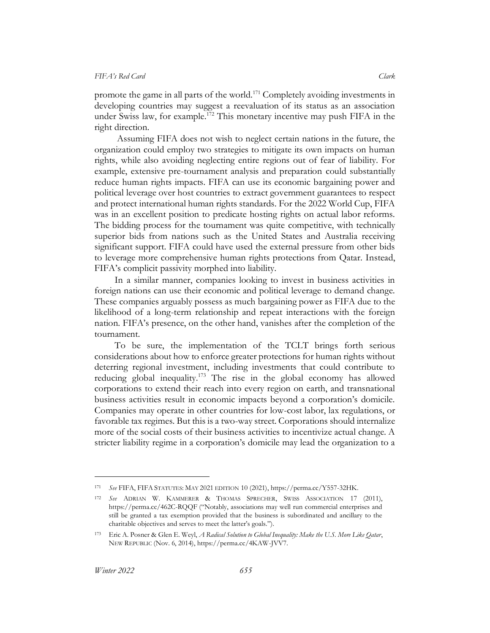promote the game in all parts of the world.<sup>171</sup> Completely avoiding investments in developing countries may suggest a reevaluation of its status as an association under Swiss law, for example.<sup>172</sup> This monetary incentive may push FIFA in the right direction.

Assuming FIFA does not wish to neglect certain nations in the future, the organization could employ two strategies to mitigate its own impacts on human rights, while also avoiding neglecting entire regions out of fear of liability. For example, extensive pre-tournament analysis and preparation could substantially reduce human rights impacts. FIFA can use its economic bargaining power and political leverage over host countries to extract government guarantees to respect and protect international human rights standards. For the 2022 World Cup, FIFA was in an excellent position to predicate hosting rights on actual labor reforms. The bidding process for the tournament was quite competitive, with technically superior bids from nations such as the United States and Australia receiving significant support. FIFA could have used the external pressure from other bids to leverage more comprehensive human rights protections from Qatar. Instead, FIFA's complicit passivity morphed into liability.

In a similar manner, companies looking to invest in business activities in foreign nations can use their economic and political leverage to demand change. These companies arguably possess as much bargaining power as FIFA due to the likelihood of a long-term relationship and repeat interactions with the foreign nation. FIFA's presence, on the other hand, vanishes after the completion of the tournament.

To be sure, the implementation of the TCLT brings forth serious considerations about how to enforce greater protections for human rights without deterring regional investment, including investments that could contribute to reducing global inequality.<sup>173</sup> The rise in the global economy has allowed corporations to extend their reach into every region on earth, and transnational business activities result in economic impacts beyond a corporation's domicile. Companies may operate in other countries for low-cost labor, lax regulations, or favorable tax regimes. But this is a two-way street. Corporations should internalize more of the social costs of their business activities to incentivize actual change. A stricter liability regime in a corporation's domicile may lead the organization to a

<sup>171</sup> *See* FIFA, FIFA STATUTES: MAY 2021 EDITION 10 (2021), https://perma.cc/Y557-32HK.

<sup>172</sup> *See* ADRIAN W. KAMMERER & THOMAS SPRECHER, SWISS ASSOCIATION 17 (2011), https://perma.cc/462C-RQQF ("Notably, associations may well run commercial enterprises and still be granted a tax exemption provided that the business is subordinated and ancillary to the charitable objectives and serves to meet the latter's goals.").

<sup>173</sup> Eric A. Posner & Glen E. Weyl, *A Radical Solution to Global Inequality: Make the U.S. More Like Qatar*, NEW REPUBLIC (Nov. 6, 2014), https://perma.cc/4KAW-JVV7.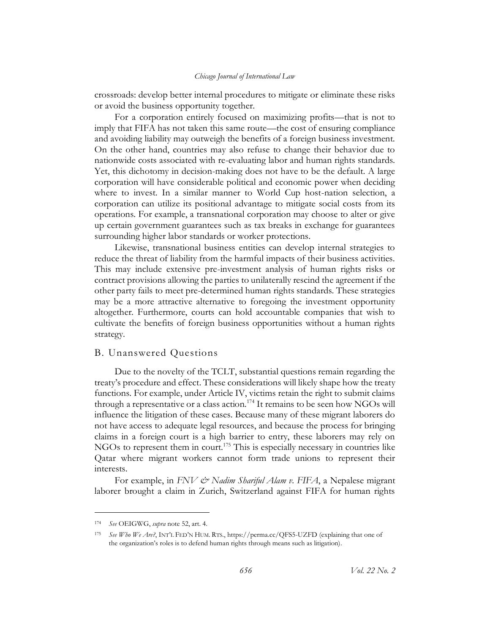crossroads: develop better internal procedures to mitigate or eliminate these risks or avoid the business opportunity together.

For a corporation entirely focused on maximizing profits—that is not to imply that FIFA has not taken this same route—the cost of ensuring compliance and avoiding liability may outweigh the benefits of a foreign business investment. On the other hand, countries may also refuse to change their behavior due to nationwide costs associated with re-evaluating labor and human rights standards. Yet, this dichotomy in decision-making does not have to be the default. A large corporation will have considerable political and economic power when deciding where to invest. In a similar manner to World Cup host-nation selection, a corporation can utilize its positional advantage to mitigate social costs from its operations. For example, a transnational corporation may choose to alter or give up certain government guarantees such as tax breaks in exchange for guarantees surrounding higher labor standards or worker protections.

Likewise, transnational business entities can develop internal strategies to reduce the threat of liability from the harmful impacts of their business activities. This may include extensive pre-investment analysis of human rights risks or contract provisions allowing the parties to unilaterally rescind the agreement if the other party fails to meet pre-determined human rights standards. These strategies may be a more attractive alternative to foregoing the investment opportunity altogether. Furthermore, courts can hold accountable companies that wish to cultivate the benefits of foreign business opportunities without a human rights strategy.

## <span id="page-36-0"></span>B. Unanswered Questions

Due to the novelty of the TCLT, substantial questions remain regarding the treaty's procedure and effect. These considerations will likely shape how the treaty functions. For example, under Article IV, victims retain the right to submit claims through a representative or a class action.<sup>174</sup> It remains to be seen how NGOs will influence the litigation of these cases. Because many of these migrant laborers do not have access to adequate legal resources, and because the process for bringing claims in a foreign court is a high barrier to entry, these laborers may rely on NGOs to represent them in court.<sup>175</sup> This is especially necessary in countries like Qatar where migrant workers cannot form trade unions to represent their interests.

For example, in *FNV & Nadim Shariful Alam v. FIFA*, a Nepalese migrant laborer brought a claim in Zurich, Switzerland against FIFA for human rights

<sup>174</sup> *See* OEIGWG, *supra* note [52,](#page-13-0) art. 4.

<sup>175</sup> *See Who We Are?*, INT'L FED'N HUM. RTS., https://perma.cc/QFS5-UZFD (explaining that one of the organization's roles is to defend human rights through means such as litigation).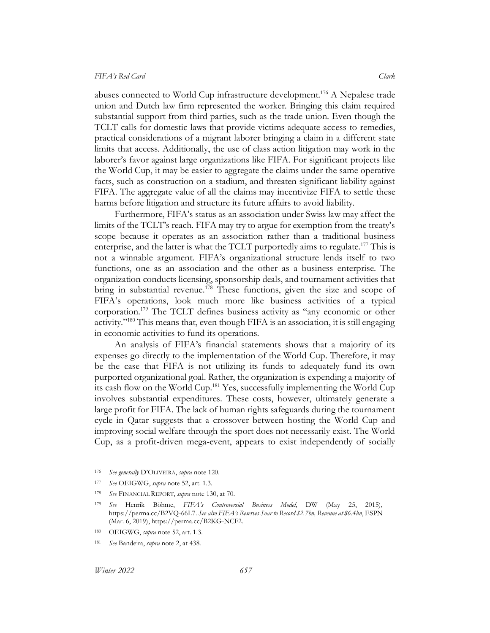abuses connected to World Cup infrastructure development.<sup>176</sup> A Nepalese trade union and Dutch law firm represented the worker. Bringing this claim required substantial support from third parties, such as the trade union. Even though the TCLT calls for domestic laws that provide victims adequate access to remedies, practical considerations of a migrant laborer bringing a claim in a different state limits that access. Additionally, the use of class action litigation may work in the laborer's favor against large organizations like FIFA. For significant projects like the World Cup, it may be easier to aggregate the claims under the same operative facts, such as construction on a stadium, and threaten significant liability against FIFA. The aggregate value of all the claims may incentivize FIFA to settle these harms before litigation and structure its future affairs to avoid liability.

Furthermore, FIFA's status as an association under Swiss law may affect the limits of the TCLT's reach. FIFA may try to argue for exemption from the treaty's scope because it operates as an association rather than a traditional business enterprise, and the latter is what the TCLT purportedly aims to regulate.<sup>177</sup> This is not a winnable argument. FIFA's organizational structure lends itself to two functions, one as an association and the other as a business enterprise. The organization conducts licensing, sponsorship deals, and tournament activities that bring in substantial revenue.<sup>178</sup> These functions, given the size and scope of FIFA's operations, look much more like business activities of a typical corporation.<sup>179</sup> The TCLT defines business activity as "any economic or other activity."<sup>180</sup> This means that, even though FIFA is an association, it is still engaging in economic activities to fund its operations.

An analysis of FIFA's financial statements shows that a majority of its expenses go directly to the implementation of the World Cup. Therefore, it may be the case that FIFA is not utilizing its funds to adequately fund its own purported organizational goal. Rather, the organization is expending a majority of its cash flow on the World Cup.<sup>181</sup> Yes, successfully implementing the World Cup involves substantial expenditures. These costs, however, ultimately generate a large profit for FIFA. The lack of human rights safeguards during the tournament cycle in Qatar suggests that a crossover between hosting the World Cup and improving social welfare through the sport does not necessarily exist. The World Cup, as a profit-driven mega-event, appears to exist independently of socially

<sup>176</sup> *See generally* D'OLIVEIRA, *supra* note [120.](#page-25-4)

<sup>177</sup> *See* OEIGWG, *supra* note [52,](#page-13-0) art. 1.3.

<sup>178</sup> *See* FINANCIAL REPORT, *supra* not[e 130,](#page-27-1) at 70.

<sup>179</sup> *See* Henrik Böhme, *FIFA's Controversial Business Model*, DW (May 25, 2015), https://perma.cc/B2VQ-66L7. *See also FIFA's Reserves Soar to Record \$2.7bn, Revenue at \$6.4bn*, ESPN (Mar. 6, 2019), https://perma.cc/B2KG-NCF2.

<sup>180</sup> OEIGWG, *supra* note [52,](#page-13-0) art. 1.3.

<sup>181</sup> *See* Bandeira, *supra* not[e 2,](#page-3-2) at 438.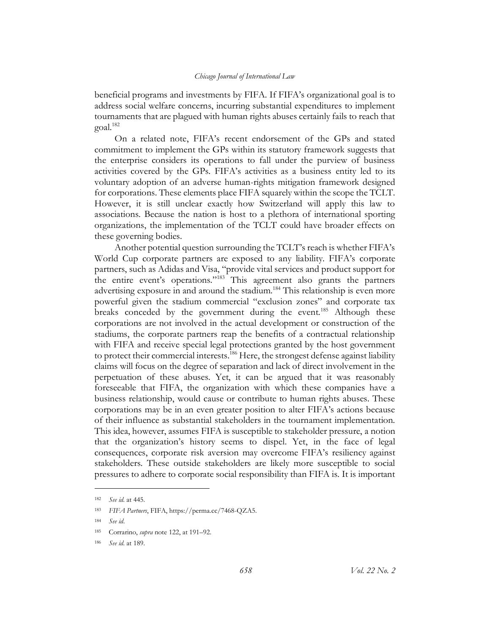beneficial programs and investments by FIFA. If FIFA's organizational goal is to address social welfare concerns, incurring substantial expenditures to implement tournaments that are plagued with human rights abuses certainly fails to reach that goal.<sup>182</sup>

On a related note, FIFA's recent endorsement of the GPs and stated commitment to implement the GPs within its statutory framework suggests that the enterprise considers its operations to fall under the purview of business activities covered by the GPs. FIFA's activities as a business entity led to its voluntary adoption of an adverse human-rights mitigation framework designed for corporations. These elements place FIFA squarely within the scope the TCLT. However, it is still unclear exactly how Switzerland will apply this law to associations. Because the nation is host to a plethora of international sporting organizations, the implementation of the TCLT could have broader effects on these governing bodies.

Another potential question surrounding the TCLT's reach is whether FIFA's World Cup corporate partners are exposed to any liability. FIFA's corporate partners, such as Adidas and Visa, "provide vital services and product support for the entire event's operations."<sup>183</sup> This agreement also grants the partners advertising exposure in and around the stadium.<sup>184</sup> This relationship is even more powerful given the stadium commercial "exclusion zones" and corporate tax breaks conceded by the government during the event.<sup>185</sup> Although these corporations are not involved in the actual development or construction of the stadiums, the corporate partners reap the benefits of a contractual relationship with FIFA and receive special legal protections granted by the host government to protect their commercial interests.<sup>186</sup> Here, the strongest defense against liability claims will focus on the degree of separation and lack of direct involvement in the perpetuation of these abuses. Yet, it can be argued that it was reasonably foreseeable that FIFA, the organization with which these companies have a business relationship, would cause or contribute to human rights abuses. These corporations may be in an even greater position to alter FIFA's actions because of their influence as substantial stakeholders in the tournament implementation. This idea, however, assumes FIFA is susceptible to stakeholder pressure, a notion that the organization's history seems to dispel. Yet, in the face of legal consequences, corporate risk aversion may overcome FIFA's resiliency against stakeholders. These outside stakeholders are likely more susceptible to social pressures to adhere to corporate social responsibility than FIFA is. It is important

<sup>182</sup> *See id.* at 445.

<sup>183</sup> *FIFA Partners*, FIFA, https://perma.cc/7468-QZA5.

<sup>184</sup> *See id*.

<sup>185</sup> Corrarino, *supra* note [122,](#page-25-2) at 191–92.

<sup>186</sup> *See id.* at 189.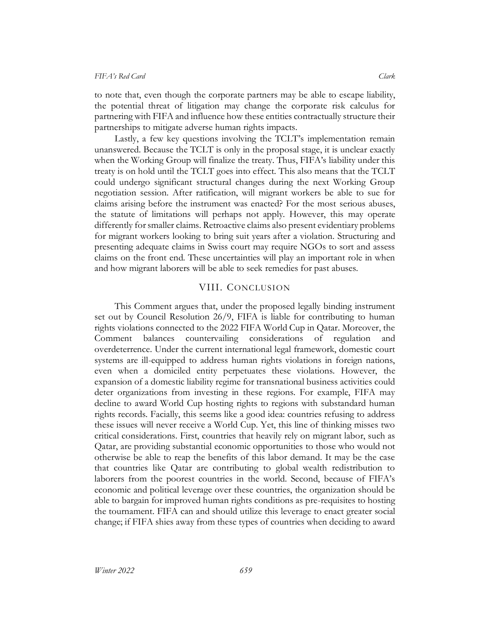to note that, even though the corporate partners may be able to escape liability, the potential threat of litigation may change the corporate risk calculus for partnering with FIFA and influence how these entities contractually structure their partnerships to mitigate adverse human rights impacts.

Lastly, a few key questions involving the TCLT's implementation remain unanswered. Because the TCLT is only in the proposal stage, it is unclear exactly when the Working Group will finalize the treaty. Thus, FIFA's liability under this treaty is on hold until the TCLT goes into effect. This also means that the TCLT could undergo significant structural changes during the next Working Group negotiation session. After ratification, will migrant workers be able to sue for claims arising before the instrument was enacted? For the most serious abuses, the statute of limitations will perhaps not apply. However, this may operate differently for smaller claims. Retroactive claims also present evidentiary problems for migrant workers looking to bring suit years after a violation. Structuring and presenting adequate claims in Swiss court may require NGOs to sort and assess claims on the front end. These uncertainties will play an important role in when and how migrant laborers will be able to seek remedies for past abuses.

#### VIII. CONCLUSION

<span id="page-39-0"></span>This Comment argues that, under the proposed legally binding instrument set out by Council Resolution 26/9, FIFA is liable for contributing to human rights violations connected to the 2022 FIFA World Cup in Qatar. Moreover, the Comment balances countervailing considerations of regulation and overdeterrence. Under the current international legal framework, domestic court systems are ill-equipped to address human rights violations in foreign nations, even when a domiciled entity perpetuates these violations. However, the expansion of a domestic liability regime for transnational business activities could deter organizations from investing in these regions. For example, FIFA may decline to award World Cup hosting rights to regions with substandard human rights records. Facially, this seems like a good idea: countries refusing to address these issues will never receive a World Cup. Yet, this line of thinking misses two critical considerations. First, countries that heavily rely on migrant labor, such as Qatar, are providing substantial economic opportunities to those who would not otherwise be able to reap the benefits of this labor demand. It may be the case that countries like Qatar are contributing to global wealth redistribution to laborers from the poorest countries in the world. Second, because of FIFA's economic and political leverage over these countries, the organization should be able to bargain for improved human rights conditions as pre-requisites to hosting the tournament. FIFA can and should utilize this leverage to enact greater social change; if FIFA shies away from these types of countries when deciding to award